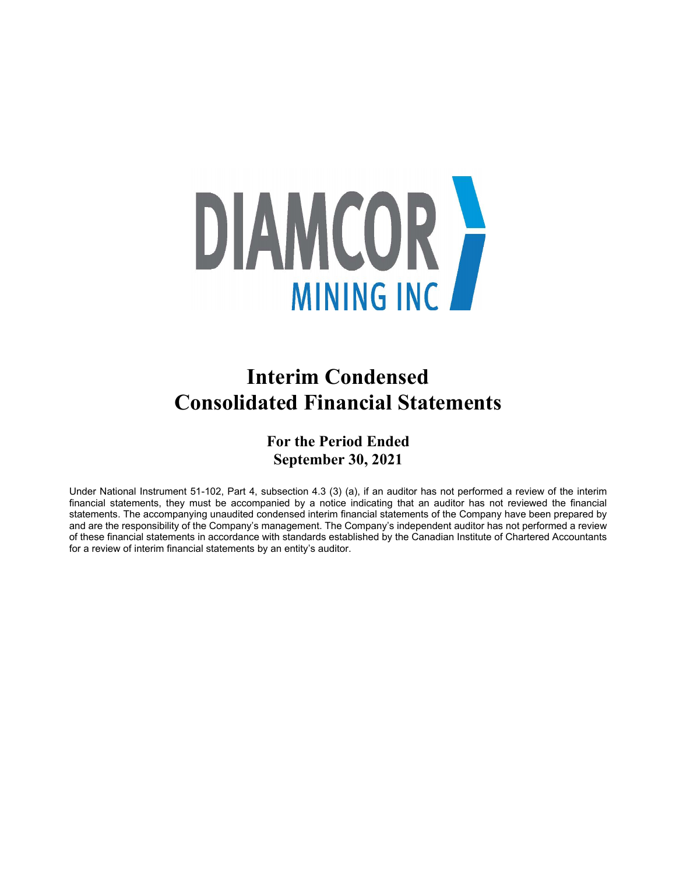

# **Interim Condensed Consolidated Financial Statements**

**For the Period Ended September 30, 2021**

Under National Instrument 51-102, Part 4, subsection 4.3 (3) (a), if an auditor has not performed a review of the interim financial statements, they must be accompanied by a notice indicating that an auditor has not reviewed the financial statements. The accompanying unaudited condensed interim financial statements of the Company have been prepared by and are the responsibility of the Company's management. The Company's independent auditor has not performed a review of these financial statements in accordance with standards established by the Canadian Institute of Chartered Accountants for a review of interim financial statements by an entity's auditor.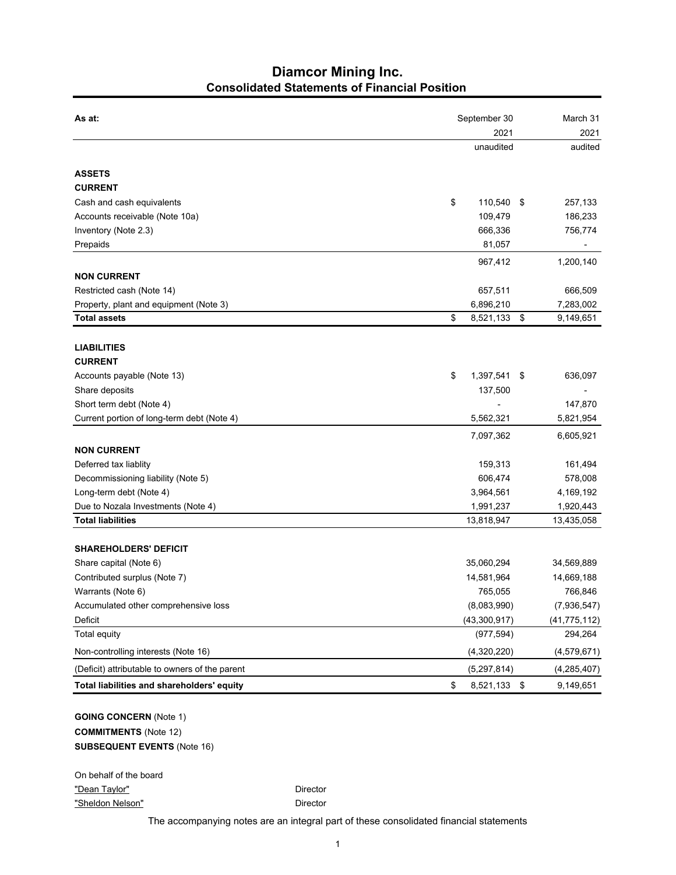# **Diamcor Mining Inc. Consolidated Statements of Financial Position**

| As at:                                         | September 30               |     | March 31                  |
|------------------------------------------------|----------------------------|-----|---------------------------|
|                                                | 2021                       |     | 2021                      |
|                                                | unaudited                  |     | audited                   |
| <b>ASSETS</b>                                  |                            |     |                           |
| <b>CURRENT</b>                                 |                            |     |                           |
| Cash and cash equivalents                      | \$<br>110,540              | -\$ | 257,133                   |
| Accounts receivable (Note 10a)                 | 109,479                    |     | 186,233                   |
| Inventory (Note 2.3)                           | 666,336                    |     | 756,774                   |
| Prepaids                                       | 81,057                     |     |                           |
|                                                | 967,412                    |     | 1,200,140                 |
| <b>NON CURRENT</b>                             |                            |     |                           |
| Restricted cash (Note 14)                      | 657,511                    |     | 666,509                   |
| Property, plant and equipment (Note 3)         | 6,896,210                  |     | 7,283,002                 |
| <b>Total assets</b>                            | \$<br>8,521,133            | \$  | 9,149,651                 |
| <b>LIABILITIES</b>                             |                            |     |                           |
| <b>CURRENT</b>                                 |                            |     |                           |
| Accounts payable (Note 13)                     | \$<br>1,397,541            | \$  | 636,097                   |
| Share deposits                                 | 137,500                    |     |                           |
| Short term debt (Note 4)                       |                            |     | 147,870                   |
| Current portion of long-term debt (Note 4)     | 5,562,321                  |     | 5,821,954                 |
|                                                |                            |     |                           |
| <b>NON CURRENT</b>                             | 7,097,362                  |     | 6,605,921                 |
| Deferred tax liablity                          | 159,313                    |     | 161,494                   |
| Decommissioning liability (Note 5)             | 606,474                    |     | 578,008                   |
| Long-term debt (Note 4)                        | 3,964,561                  |     | 4,169,192                 |
| Due to Nozala Investments (Note 4)             | 1,991,237                  |     | 1,920,443                 |
| <b>Total liabilities</b>                       | 13,818,947                 |     | 13,435,058                |
|                                                |                            |     |                           |
| <b>SHAREHOLDERS' DEFICIT</b>                   |                            |     |                           |
| Share capital (Note 6)                         | 35,060,294                 |     | 34,569,889                |
| Contributed surplus (Note 7)                   | 14,581,964                 |     | 14,669,188                |
| Warrants (Note 6)                              | 765,055                    |     | 766,846                   |
| Accumulated other comprehensive loss           | (8,083,990)                |     | (7,936,547)               |
| Deficit<br><b>Total equity</b>                 | (43,300,917)<br>(977, 594) |     | (41, 775, 112)<br>294,264 |
| Non-controlling interests (Note 16)            | (4,320,220)                |     | (4,579,671)               |
|                                                |                            |     |                           |
| (Deficit) attributable to owners of the parent | (5, 297, 814)              |     | (4, 285, 407)             |
| Total liabilities and shareholders' equity     | \$<br>8,521,133 \$         |     | 9,149,651                 |
| <b>GOING CONCERN (Note 1)</b>                  |                            |     |                           |
| <b>COMMITMENTS</b> (Note 12)                   |                            |     |                           |
| <b>SUBSEQUENT EVENTS (Note 16)</b>             |                            |     |                           |
|                                                |                            |     |                           |

On behalf of the board "Dean Taylor" **Director** Director "Sheldon Nelson" Director

The accompanying notes are an integral part of these consolidated financial statements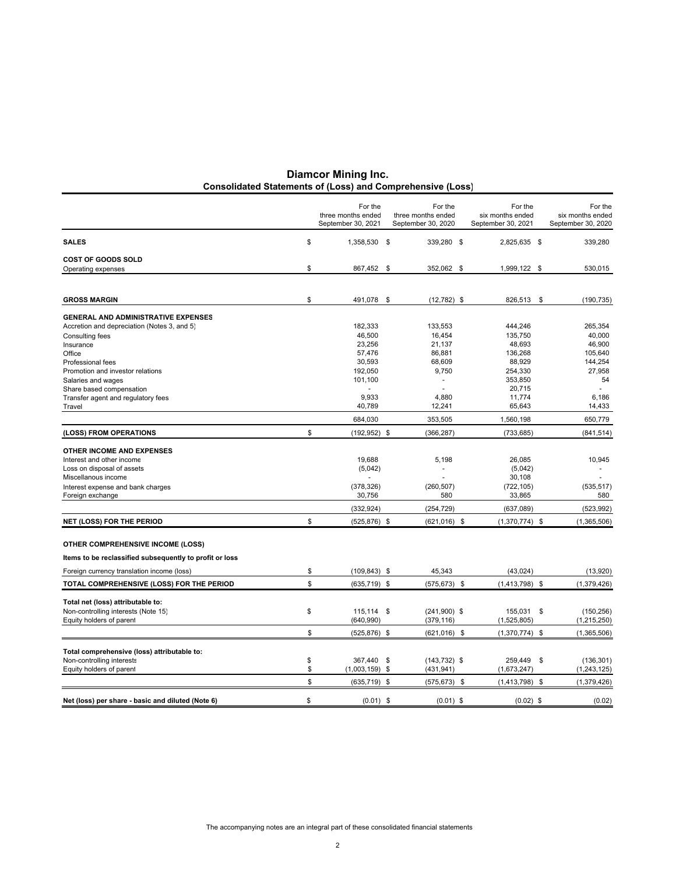| <b>Consolidated Statements of (Loss) and Comprehensive (Loss)</b> | <b>Diamcor Mining Inc.</b> |
|-------------------------------------------------------------------|----------------------------|
|                                                                   |                            |

|                                                         | For the<br>three months ended<br>September 30, 2021 | For the<br>three months ended<br>September 30, 2020 | For the<br>six months ended<br>September 30, 2021 |      | For the<br>six months ended<br>September 30, 2020 |
|---------------------------------------------------------|-----------------------------------------------------|-----------------------------------------------------|---------------------------------------------------|------|---------------------------------------------------|
| <b>SALES</b>                                            | \$<br>1,358,530 \$                                  | 339,280 \$                                          | 2,825,635 \$                                      |      | 339,280                                           |
| <b>COST OF GOODS SOLD</b>                               |                                                     |                                                     |                                                   |      |                                                   |
| Operating expenses                                      | \$<br>867,452                                       | \$<br>352,062 \$                                    | 1,999,122 \$                                      |      | 530,015                                           |
|                                                         |                                                     |                                                     |                                                   |      |                                                   |
| <b>GROSS MARGIN</b>                                     | \$<br>491,078                                       | \$<br>$(12,782)$ \$                                 | 826,513                                           | - \$ | (190, 735)                                        |
| <b>GENERAL AND ADMINISTRATIVE EXPENSES</b>              |                                                     |                                                     |                                                   |      |                                                   |
| Accretion and depreciation (Notes 3, and 5)             | 182,333                                             | 133,553                                             | 444.246                                           |      | 265.354                                           |
| <b>Consulting fees</b>                                  | 46,500                                              | 16,454                                              | 135,750                                           |      | 40,000                                            |
| Insurance                                               | 23,256                                              | 21,137                                              | 48,693                                            |      | 46,900                                            |
| Office                                                  | 57,476                                              | 86,881                                              | 136,268                                           |      | 105,640                                           |
| Professional fees                                       | 30,593                                              | 68,609                                              | 88,929                                            |      | 144,254                                           |
| Promotion and investor relations                        | 192,050<br>101,100                                  | 9,750<br>÷,                                         | 254,330<br>353,850                                |      | 27,958<br>54                                      |
| Salaries and wages<br>Share based compensation          |                                                     |                                                     | 20,715                                            |      |                                                   |
| Transfer agent and regulatory fees                      | 9,933                                               | 4,880                                               | 11,774                                            |      | 6,186                                             |
| Travel                                                  | 40,789                                              | 12,241                                              | 65,643                                            |      | 14,433                                            |
|                                                         | 684,030                                             | 353,505                                             | 1,560,198                                         |      | 650,779                                           |
| (LOSS) FROM OPERATIONS                                  | \$<br>$(192, 952)$ \$                               | (366, 287)                                          | (733, 685)                                        |      | (841, 514)                                        |
| <b>OTHER INCOME AND EXPENSES</b>                        |                                                     |                                                     |                                                   |      |                                                   |
| Interest and other income                               | 19,688                                              | 5,198                                               | 26,085                                            |      | 10,945                                            |
| Loss on disposal of assets                              | (5,042)                                             |                                                     | (5,042)                                           |      |                                                   |
| Miscellanous income                                     |                                                     |                                                     | 30,108                                            |      |                                                   |
| Interest expense and bank charges                       | (378, 326)                                          | (260, 507)                                          | (722, 105)                                        |      | (535, 517)                                        |
| Foreign exchange                                        | 30,756                                              | 580                                                 | 33,865                                            |      | 580                                               |
|                                                         | (332, 924)                                          | (254, 729)                                          | (637,089)                                         |      | (523, 992)                                        |
| <b>NET (LOSS) FOR THE PERIOD</b>                        | \$<br>$(525, 876)$ \$                               | $(621, 016)$ \$                                     | $(1,370,774)$ \$                                  |      | (1,365,506)                                       |
|                                                         |                                                     |                                                     |                                                   |      |                                                   |
| <b>OTHER COMPREHENSIVE INCOME (LOSS)</b>                |                                                     |                                                     |                                                   |      |                                                   |
| Items to be reclassified subsequently to profit or loss |                                                     |                                                     |                                                   |      |                                                   |
| Foreign currency translation income (loss)              | \$<br>$(109.843)$ \$                                | 45,343                                              | (43, 024)                                         |      | (13,920)                                          |
| TOTAL COMPREHENSIVE (LOSS) FOR THE PERIOD               | \$<br>$(635, 719)$ \$                               | $(575, 673)$ \$                                     | $(1,413,798)$ \$                                  |      | (1,379,426)                                       |
| Total net (loss) attributable to:                       |                                                     |                                                     |                                                   |      |                                                   |
| Non-controlling interests (Note 15)                     | \$<br>115,114 \$                                    | $(241,900)$ \$                                      | 155,031 \$                                        |      | (150, 256)                                        |
| Equity holders of parent                                | (640, 990)                                          | (379, 116)                                          | (1,525,805)                                       |      | (1, 215, 250)                                     |
|                                                         | \$<br>$(525, 876)$ \$                               | $(621,016)$ \$                                      | $(1,370,774)$ \$                                  |      | (1,365,506)                                       |
|                                                         |                                                     |                                                     |                                                   |      |                                                   |
| Total comprehensive (loss) attributable to:             |                                                     |                                                     |                                                   |      |                                                   |
| Non-controlling interests                               | \$<br>367,440 \$                                    | $(143, 732)$ \$                                     | 259,449                                           | \$   | (136, 301)                                        |
| Equity holders of parent                                | \$<br>$(1,003,159)$ \$                              | (431, 941)                                          | (1,673,247)                                       |      | (1, 243, 125)                                     |
|                                                         | \$<br>$(635, 719)$ \$                               | $(575, 673)$ \$                                     | $(1,413,798)$ \$                                  |      | (1, 379, 426)                                     |
| Net (loss) per share - basic and diluted (Note 6)       | \$<br>$(0.01)$ \$                                   | $(0.01)$ \$                                         | $(0.02)$ \$                                       |      | (0.02)                                            |
|                                                         |                                                     |                                                     |                                                   |      |                                                   |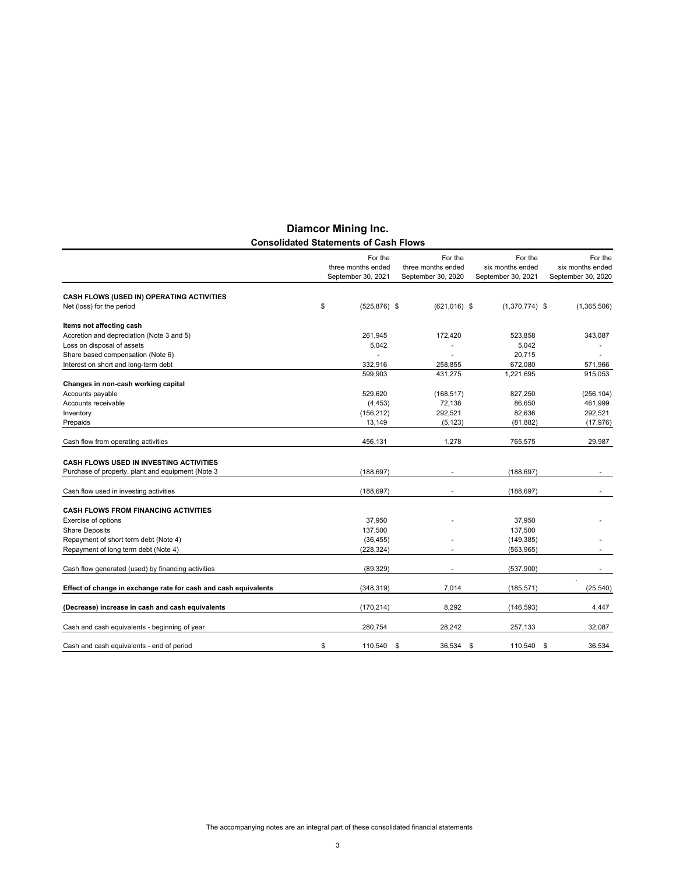|                                                                 | For the                                  | For the                                  | For the                                | For the                                |
|-----------------------------------------------------------------|------------------------------------------|------------------------------------------|----------------------------------------|----------------------------------------|
|                                                                 | three months ended<br>September 30, 2021 | three months ended<br>September 30, 2020 | six months ended<br>September 30, 2021 | six months ended<br>September 30, 2020 |
| CASH FLOWS (USED IN) OPERATING ACTIVITIES                       |                                          |                                          |                                        |                                        |
| Net (loss) for the period                                       | \$<br>$(525, 876)$ \$                    | $(621,016)$ \$                           | $(1,370,774)$ \$                       | (1,365,506)                            |
| Items not affecting cash                                        |                                          |                                          |                                        |                                        |
| Accretion and depreciation (Note 3 and 5)                       | 261,945                                  | 172,420                                  | 523,858                                | 343,087                                |
| Loss on disposal of assets                                      | 5,042                                    |                                          | 5,042                                  |                                        |
| Share based compensation (Note 6)                               |                                          |                                          | 20.715                                 |                                        |
| Interest on short and long-term debt                            | 332,916                                  | 258,855                                  | 672,080                                | 571,966                                |
|                                                                 | 599.903                                  | 431,275                                  | 1,221,695                              | 915,053                                |
| Changes in non-cash working capital                             |                                          |                                          |                                        |                                        |
| Accounts payable                                                | 529,620                                  | (168, 517)                               | 827,250                                | (256, 104)                             |
| Accounts receivable                                             | (4, 453)                                 | 72,138                                   | 86.650                                 | 461,999                                |
| Inventory                                                       | (156, 212)                               | 292,521                                  | 82,636                                 | 292,521                                |
| Prepaids                                                        | 13,149                                   | (5, 123)                                 | (81, 882)                              | (17, 976)                              |
|                                                                 |                                          |                                          |                                        |                                        |
| Cash flow from operating activities                             | 456,131                                  | 1,278                                    | 765,575                                | 29,987                                 |
| <b>CASH FLOWS USED IN INVESTING ACTIVITIES</b>                  |                                          |                                          |                                        |                                        |
| Purchase of property, plant and equipment (Note 3               | (188, 697)                               |                                          | (188, 697)                             |                                        |
| Cash flow used in investing activities                          | (188, 697)                               |                                          | (188, 697)                             |                                        |
| <b>CASH FLOWS FROM FINANCING ACTIVITIES</b>                     |                                          |                                          |                                        |                                        |
| Exercise of options                                             | 37,950                                   |                                          | 37,950                                 |                                        |
| <b>Share Deposits</b>                                           | 137,500                                  |                                          | 137,500                                |                                        |
| Repayment of short term debt (Note 4)                           | (36, 455)                                |                                          | (149, 385)                             |                                        |
| Repayment of long term debt (Note 4)                            | (228, 324)                               |                                          | (563, 965)                             |                                        |
|                                                                 |                                          |                                          |                                        |                                        |
| Cash flow generated (used) by financing activities              | (89, 329)                                |                                          | (537,900)                              |                                        |
| Effect of change in exchange rate for cash and cash equivalents | (348, 319)                               | 7,014                                    | (185, 571)                             | (25, 540)                              |
| (Decrease) increase in cash and cash equivalents                | (170, 214)                               | 8.292                                    | (146, 593)                             | 4.447                                  |
| Cash and cash equivalents - beginning of year                   | 280.754                                  | 28,242                                   | 257,133                                | 32,087                                 |
|                                                                 |                                          |                                          |                                        |                                        |
| Cash and cash equivalents - end of period                       | \$<br>110,540                            | \$<br>36,534                             | \$<br>110,540                          | \$<br>36.534                           |

# **Diamcor Mining Inc. Consolidated Statements of Cash Flows**

The accompanying notes are an integral part of these consolidated financial statements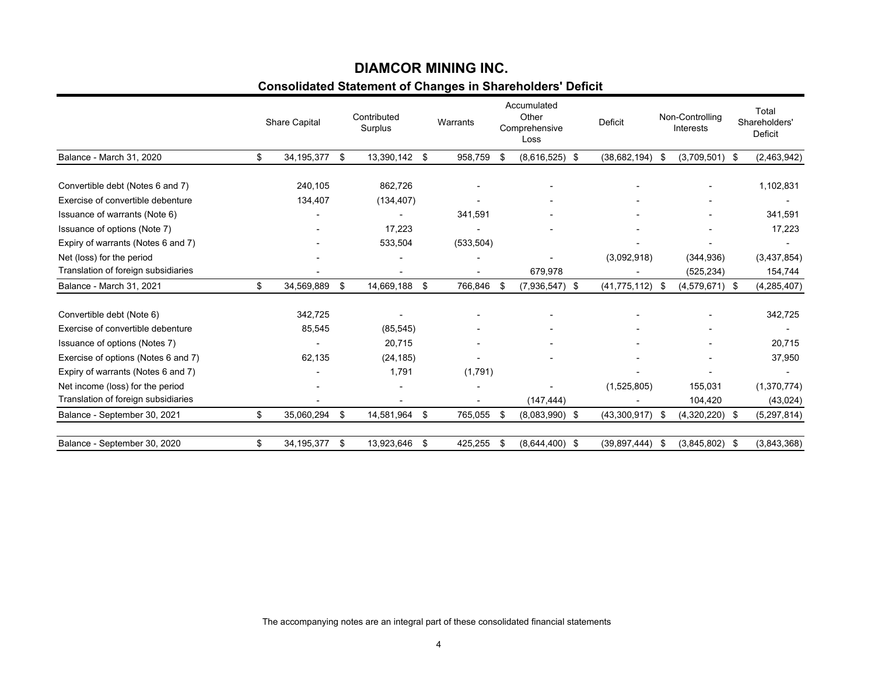# **Consolidated Statement of Changes in Shareholders' Deficit DIAMCOR MINING INC.**

|                                     | <b>Share Capital</b> |      | Contributed<br>Surplus | Warrants       |     | Accumulated<br>Other<br>Comprehensive<br>Loss | Deficit             |      | Non-Controlling<br><b>Interests</b> |      | Total<br>Shareholders'<br><b>Deficit</b> |
|-------------------------------------|----------------------|------|------------------------|----------------|-----|-----------------------------------------------|---------------------|------|-------------------------------------|------|------------------------------------------|
| Balance - March 31, 2020            | \$<br>34,195,377     | - \$ | 13,390,142 \$          | 958.759        | -\$ | $(8,616,525)$ \$                              | (38,682,194)        | - \$ | $(3,709,501)$ \$                    |      | (2,463,942)                              |
|                                     |                      |      | 862,726                |                |     |                                               |                     |      |                                     |      |                                          |
| Convertible debt (Notes 6 and 7)    | 240,105              |      |                        |                |     | ٠                                             |                     |      |                                     |      | 1,102,831                                |
| Exercise of convertible debenture   | 134,407              |      | (134, 407)             |                |     |                                               |                     |      |                                     |      |                                          |
| Issuance of warrants (Note 6)       |                      |      | ٠                      | 341,591        |     |                                               |                     |      |                                     |      | 341,591                                  |
| Issuance of options (Note 7)        |                      |      | 17,223                 |                |     |                                               |                     |      |                                     |      | 17,223                                   |
| Expiry of warrants (Notes 6 and 7)  |                      |      | 533,504                | (533, 504)     |     |                                               |                     |      |                                     |      |                                          |
| Net (loss) for the period           |                      |      |                        |                |     |                                               | (3,092,918)         |      | (344, 936)                          |      | (3,437,854)                              |
| Translation of foreign subsidiaries |                      |      |                        |                |     | 679,978                                       |                     |      | (525, 234)                          |      | 154,744                                  |
| Balance - March 31, 2021            | \$<br>34,569,889     | \$   | 14,669,188 \$          | 766,846        | \$  | $(7,936,547)$ \$                              | $(41, 775, 112)$ \$ |      | $(4,579,671)$ \$                    |      | (4, 285, 407)                            |
|                                     |                      |      |                        |                |     |                                               |                     |      |                                     |      |                                          |
| Convertible debt (Note 6)           | 342,725              |      |                        |                |     |                                               |                     |      |                                     |      | 342,725                                  |
| Exercise of convertible debenture   | 85,545               |      | (85, 545)              |                |     |                                               |                     |      |                                     |      |                                          |
| Issuance of options (Notes 7)       |                      |      | 20,715                 |                |     |                                               |                     |      |                                     |      | 20,715                                   |
| Exercise of options (Notes 6 and 7) | 62,135               |      | (24, 185)              |                |     |                                               |                     |      |                                     |      | 37,950                                   |
| Expiry of warrants (Notes 6 and 7)  |                      |      | 1,791                  | (1,791)        |     |                                               |                     |      |                                     |      |                                          |
| Net income (loss) for the period    |                      |      |                        |                |     |                                               | (1,525,805)         |      | 155,031                             |      | (1,370,774)                              |
| Translation of foreign subsidiaries |                      |      |                        | $\blacksquare$ |     | (147, 444)                                    |                     |      | 104,420                             |      | (43, 024)                                |
| Balance - September 30, 2021        | \$<br>35,060,294     | \$   | 14,581,964 \$          | 765,055        | -\$ | $(8,083,990)$ \$                              | $(43,300,917)$ \$   |      | $(4,320,220)$ \$                    |      | (5,297,814)                              |
| Balance - September 30, 2020        | \$<br>34, 195, 377   | \$   | 13,923,646 \$          | 425,255        | \$  | $(8,644,400)$ \$                              | (39, 897, 444)      | -\$  | (3,845,802)                         | - \$ | (3,843,368)                              |
|                                     |                      |      |                        |                |     |                                               |                     |      |                                     |      |                                          |

The accompanying notes are an integral part of these consolidated financial statements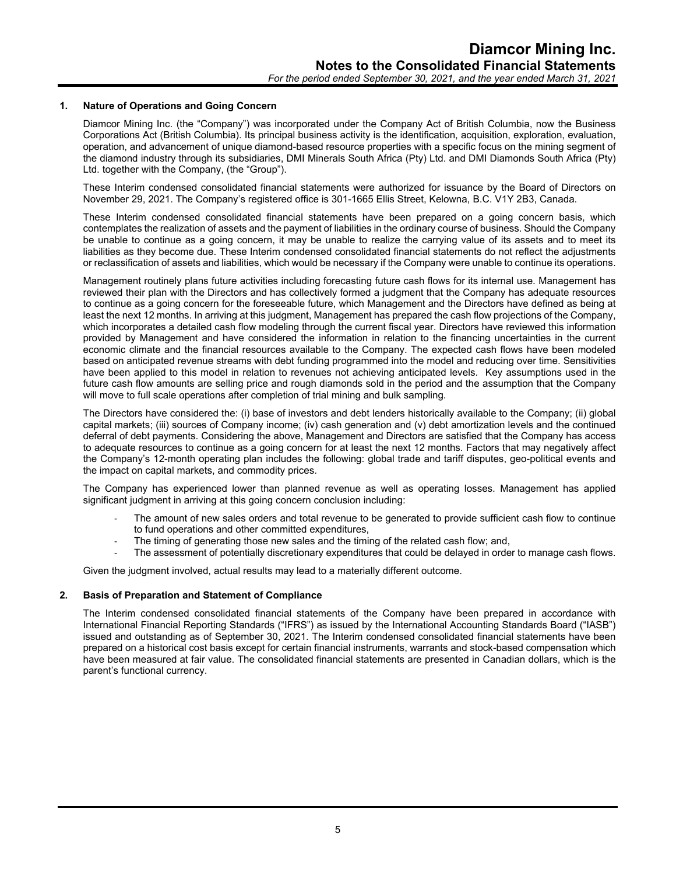#### **1. Nature of Operations and Going Concern**

Diamcor Mining Inc. (the "Company") was incorporated under the Company Act of British Columbia, now the Business Corporations Act (British Columbia). Its principal business activity is the identification, acquisition, exploration, evaluation, operation, and advancement of unique diamond-based resource properties with a specific focus on the mining segment of the diamond industry through its subsidiaries, DMI Minerals South Africa (Pty) Ltd. and DMI Diamonds South Africa (Pty) Ltd. together with the Company, (the "Group").

These Interim condensed consolidated financial statements were authorized for issuance by the Board of Directors on November 29, 2021. The Company's registered office is 301-1665 Ellis Street, Kelowna, B.C. V1Y 2B3, Canada.

These Interim condensed consolidated financial statements have been prepared on a going concern basis, which contemplates the realization of assets and the payment of liabilities in the ordinary course of business. Should the Company be unable to continue as a going concern, it may be unable to realize the carrying value of its assets and to meet its liabilities as they become due. These Interim condensed consolidated financial statements do not reflect the adjustments or reclassification of assets and liabilities, which would be necessary if the Company were unable to continue its operations.

Management routinely plans future activities including forecasting future cash flows for its internal use. Management has reviewed their plan with the Directors and has collectively formed a judgment that the Company has adequate resources to continue as a going concern for the foreseeable future, which Management and the Directors have defined as being at least the next 12 months. In arriving at this judgment, Management has prepared the cash flow projections of the Company, which incorporates a detailed cash flow modeling through the current fiscal year. Directors have reviewed this information provided by Management and have considered the information in relation to the financing uncertainties in the current economic climate and the financial resources available to the Company. The expected cash flows have been modeled based on anticipated revenue streams with debt funding programmed into the model and reducing over time. Sensitivities have been applied to this model in relation to revenues not achieving anticipated levels. Key assumptions used in the future cash flow amounts are selling price and rough diamonds sold in the period and the assumption that the Company will move to full scale operations after completion of trial mining and bulk sampling.

The Directors have considered the: (i) base of investors and debt lenders historically available to the Company; (ii) global capital markets; (iii) sources of Company income; (iv) cash generation and (v) debt amortization levels and the continued deferral of debt payments. Considering the above, Management and Directors are satisfied that the Company has access to adequate resources to continue as a going concern for at least the next 12 months. Factors that may negatively affect the Company's 12-month operating plan includes the following: global trade and tariff disputes, geo-political events and the impact on capital markets, and commodity prices.

The Company has experienced lower than planned revenue as well as operating losses. Management has applied significant judgment in arriving at this going concern conclusion including:

- The amount of new sales orders and total revenue to be generated to provide sufficient cash flow to continue to fund operations and other committed expenditures,
- The timing of generating those new sales and the timing of the related cash flow; and,
- The assessment of potentially discretionary expenditures that could be delayed in order to manage cash flows.

Given the judgment involved, actual results may lead to a materially different outcome.

#### **2. Basis of Preparation and Statement of Compliance**

The Interim condensed consolidated financial statements of the Company have been prepared in accordance with International Financial Reporting Standards ("IFRS") as issued by the International Accounting Standards Board ("IASB") issued and outstanding as of September 30, 2021. The Interim condensed consolidated financial statements have been prepared on a historical cost basis except for certain financial instruments, warrants and stock-based compensation which have been measured at fair value. The consolidated financial statements are presented in Canadian dollars, which is the parent's functional currency.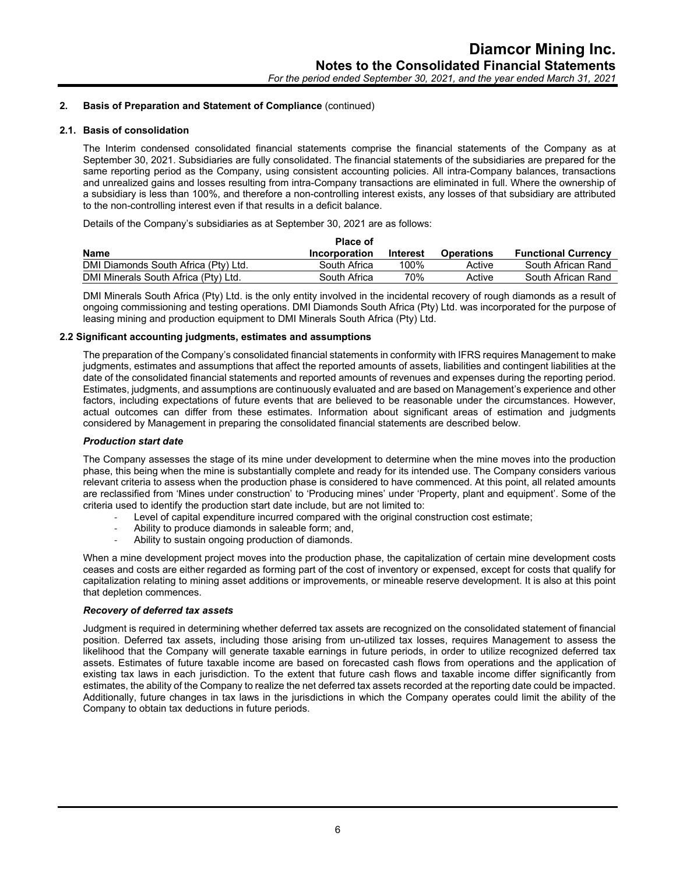# **2.1. Basis of consolidation**

The Interim condensed consolidated financial statements comprise the financial statements of the Company as at September 30, 2021. Subsidiaries are fully consolidated. The financial statements of the subsidiaries are prepared for the same reporting period as the Company, using consistent accounting policies. All intra-Company balances, transactions and unrealized gains and losses resulting from intra-Company transactions are eliminated in full. Where the ownership of a subsidiary is less than 100%, and therefore a non-controlling interest exists, any losses of that subsidiary are attributed to the non-controlling interest even if that results in a deficit balance.

Details of the Company's subsidiaries as at September 30, 2021 are as follows:

|                                      | <b>Place of</b> |                 |                   |                            |
|--------------------------------------|-----------------|-----------------|-------------------|----------------------------|
| <b>Name</b>                          | Incorporation   | <b>Interest</b> | <b>Operations</b> | <b>Functional Currency</b> |
| DMI Diamonds South Africa (Pty) Ltd. | South Africa    | 100%            | Active            | South African Rand         |
| DMI Minerals South Africa (Pty) Ltd. | South Africa    | 70%             | Active            | South African Rand         |

DMI Minerals South Africa (Pty) Ltd. is the only entity involved in the incidental recovery of rough diamonds as a result of ongoing commissioning and testing operations. DMI Diamonds South Africa (Pty) Ltd. was incorporated for the purpose of leasing mining and production equipment to DMI Minerals South Africa (Pty) Ltd.

# **2.2 Significant accounting judgments, estimates and assumptions**

The preparation of the Company's consolidated financial statements in conformity with IFRS requires Management to make judgments, estimates and assumptions that affect the reported amounts of assets, liabilities and contingent liabilities at the date of the consolidated financial statements and reported amounts of revenues and expenses during the reporting period. Estimates, judgments, and assumptions are continuously evaluated and are based on Management's experience and other factors, including expectations of future events that are believed to be reasonable under the circumstances. However, actual outcomes can differ from these estimates. Information about significant areas of estimation and judgments considered by Management in preparing the consolidated financial statements are described below.

#### *Production start date*

The Company assesses the stage of its mine under development to determine when the mine moves into the production phase, this being when the mine is substantially complete and ready for its intended use. The Company considers various relevant criteria to assess when the production phase is considered to have commenced. At this point, all related amounts are reclassified from 'Mines under construction' to 'Producing mines' under 'Property, plant and equipment'. Some of the criteria used to identify the production start date include, but are not limited to:

- Level of capital expenditure incurred compared with the original construction cost estimate;
- Ability to produce diamonds in saleable form; and,
- Ability to sustain ongoing production of diamonds.

When a mine development project moves into the production phase, the capitalization of certain mine development costs ceases and costs are either regarded as forming part of the cost of inventory or expensed, except for costs that qualify for capitalization relating to mining asset additions or improvements, or mineable reserve development. It is also at this point that depletion commences.

#### *Recovery of deferred tax assets*

Judgment is required in determining whether deferred tax assets are recognized on the consolidated statement of financial position. Deferred tax assets, including those arising from un-utilized tax losses, requires Management to assess the likelihood that the Company will generate taxable earnings in future periods, in order to utilize recognized deferred tax assets. Estimates of future taxable income are based on forecasted cash flows from operations and the application of existing tax laws in each jurisdiction. To the extent that future cash flows and taxable income differ significantly from estimates, the ability of the Company to realize the net deferred tax assets recorded at the reporting date could be impacted. Additionally, future changes in tax laws in the jurisdictions in which the Company operates could limit the ability of the Company to obtain tax deductions in future periods.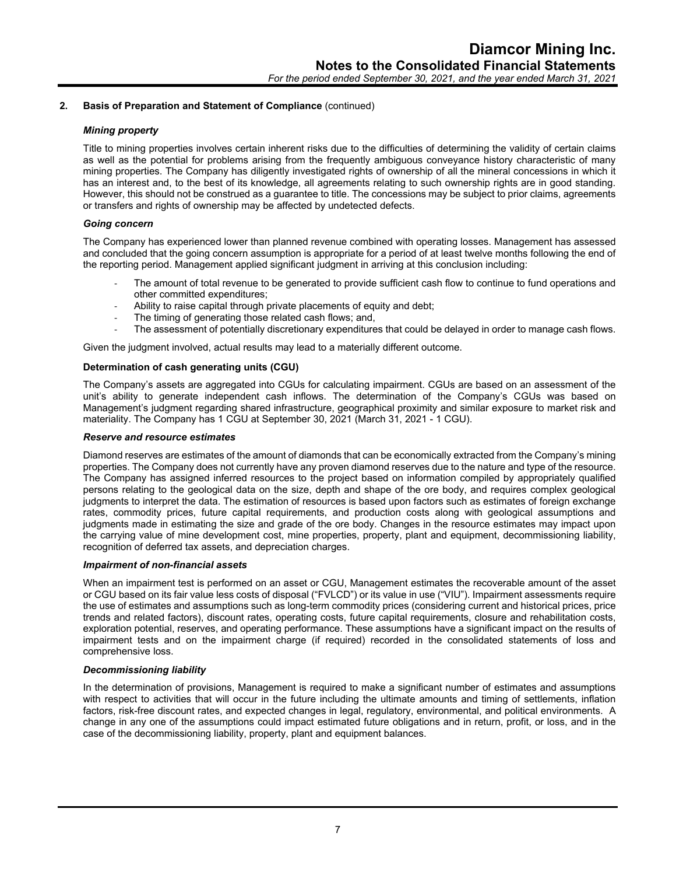#### *Mining property*

Title to mining properties involves certain inherent risks due to the difficulties of determining the validity of certain claims as well as the potential for problems arising from the frequently ambiguous conveyance history characteristic of many mining properties. The Company has diligently investigated rights of ownership of all the mineral concessions in which it has an interest and, to the best of its knowledge, all agreements relating to such ownership rights are in good standing. However, this should not be construed as a guarantee to title. The concessions may be subject to prior claims, agreements or transfers and rights of ownership may be affected by undetected defects.

# *Going concern*

The Company has experienced lower than planned revenue combined with operating losses. Management has assessed and concluded that the going concern assumption is appropriate for a period of at least twelve months following the end of the reporting period. Management applied significant judgment in arriving at this conclusion including:

- The amount of total revenue to be generated to provide sufficient cash flow to continue to fund operations and other committed expenditures;
- Ability to raise capital through private placements of equity and debt;
- The timing of generating those related cash flows; and,
- The assessment of potentially discretionary expenditures that could be delayed in order to manage cash flows.

Given the judgment involved, actual results may lead to a materially different outcome.

# **Determination of cash generating units (CGU)**

The Company's assets are aggregated into CGUs for calculating impairment. CGUs are based on an assessment of the unit's ability to generate independent cash inflows. The determination of the Company's CGUs was based on Management's judgment regarding shared infrastructure, geographical proximity and similar exposure to market risk and materiality. The Company has 1 CGU at September 30, 2021 (March 31, 2021 - 1 CGU).

# *Reserve and resource estimates*

Diamond reserves are estimates of the amount of diamonds that can be economically extracted from the Company's mining properties. The Company does not currently have any proven diamond reserves due to the nature and type of the resource. The Company has assigned inferred resources to the project based on information compiled by appropriately qualified persons relating to the geological data on the size, depth and shape of the ore body, and requires complex geological judgments to interpret the data. The estimation of resources is based upon factors such as estimates of foreign exchange rates, commodity prices, future capital requirements, and production costs along with geological assumptions and judgments made in estimating the size and grade of the ore body. Changes in the resource estimates may impact upon the carrying value of mine development cost, mine properties, property, plant and equipment, decommissioning liability, recognition of deferred tax assets, and depreciation charges.

#### *Impairment of non-financial assets*

When an impairment test is performed on an asset or CGU, Management estimates the recoverable amount of the asset or CGU based on its fair value less costs of disposal ("FVLCD") or its value in use ("VIU"). Impairment assessments require the use of estimates and assumptions such as long-term commodity prices (considering current and historical prices, price trends and related factors), discount rates, operating costs, future capital requirements, closure and rehabilitation costs, exploration potential, reserves, and operating performance. These assumptions have a significant impact on the results of impairment tests and on the impairment charge (if required) recorded in the consolidated statements of loss and comprehensive loss.

#### *Decommissioning liability*

In the determination of provisions, Management is required to make a significant number of estimates and assumptions with respect to activities that will occur in the future including the ultimate amounts and timing of settlements, inflation factors, risk-free discount rates, and expected changes in legal, regulatory, environmental, and political environments. A change in any one of the assumptions could impact estimated future obligations and in return, profit, or loss, and in the case of the decommissioning liability, property, plant and equipment balances.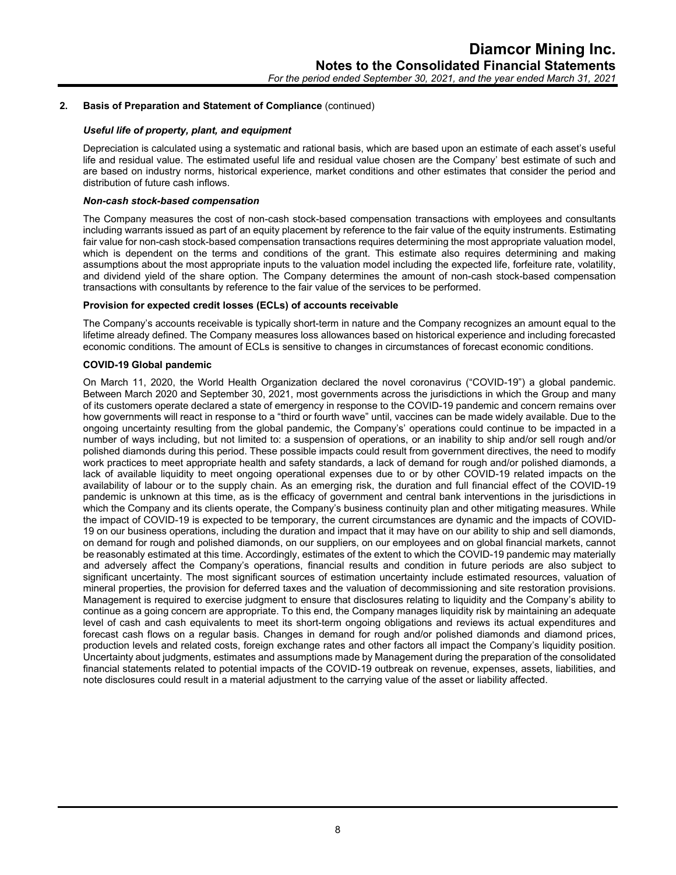# *Useful life of property, plant, and equipment*

Depreciation is calculated using a systematic and rational basis, which are based upon an estimate of each asset's useful life and residual value. The estimated useful life and residual value chosen are the Company' best estimate of such and are based on industry norms, historical experience, market conditions and other estimates that consider the period and distribution of future cash inflows.

#### *Non-cash stock-based compensation*

The Company measures the cost of non-cash stock-based compensation transactions with employees and consultants including warrants issued as part of an equity placement by reference to the fair value of the equity instruments. Estimating fair value for non-cash stock-based compensation transactions requires determining the most appropriate valuation model, which is dependent on the terms and conditions of the grant. This estimate also requires determining and making assumptions about the most appropriate inputs to the valuation model including the expected life, forfeiture rate, volatility, and dividend yield of the share option. The Company determines the amount of non-cash stock-based compensation transactions with consultants by reference to the fair value of the services to be performed.

# **Provision for expected credit losses (ECLs) of accounts receivable**

The Company's accounts receivable is typically short-term in nature and the Company recognizes an amount equal to the lifetime already defined. The Company measures loss allowances based on historical experience and including forecasted economic conditions. The amount of ECLs is sensitive to changes in circumstances of forecast economic conditions.

# **COVID-19 Global pandemic**

On March 11, 2020, the World Health Organization declared the novel coronavirus ("COVID-19") a global pandemic. Between March 2020 and September 30, 2021, most governments across the jurisdictions in which the Group and many of its customers operate declared a state of emergency in response to the COVID-19 pandemic and concern remains over how governments will react in response to a "third or fourth wave" until, vaccines can be made widely available. Due to the ongoing uncertainty resulting from the global pandemic, the Company's' operations could continue to be impacted in a number of ways including, but not limited to: a suspension of operations, or an inability to ship and/or sell rough and/or polished diamonds during this period. These possible impacts could result from government directives, the need to modify work practices to meet appropriate health and safety standards, a lack of demand for rough and/or polished diamonds, a lack of available liquidity to meet ongoing operational expenses due to or by other COVID-19 related impacts on the availability of labour or to the supply chain. As an emerging risk, the duration and full financial effect of the COVID-19 pandemic is unknown at this time, as is the efficacy of government and central bank interventions in the jurisdictions in which the Company and its clients operate, the Company's business continuity plan and other mitigating measures. While the impact of COVID-19 is expected to be temporary, the current circumstances are dynamic and the impacts of COVID-19 on our business operations, including the duration and impact that it may have on our ability to ship and sell diamonds, on demand for rough and polished diamonds, on our suppliers, on our employees and on global financial markets, cannot be reasonably estimated at this time. Accordingly, estimates of the extent to which the COVID-19 pandemic may materially and adversely affect the Company's operations, financial results and condition in future periods are also subject to significant uncertainty. The most significant sources of estimation uncertainty include estimated resources, valuation of mineral properties, the provision for deferred taxes and the valuation of decommissioning and site restoration provisions. Management is required to exercise judgment to ensure that disclosures relating to liquidity and the Company's ability to continue as a going concern are appropriate. To this end, the Company manages liquidity risk by maintaining an adequate level of cash and cash equivalents to meet its short-term ongoing obligations and reviews its actual expenditures and forecast cash flows on a regular basis. Changes in demand for rough and/or polished diamonds and diamond prices, production levels and related costs, foreign exchange rates and other factors all impact the Company's liquidity position. Uncertainty about judgments, estimates and assumptions made by Management during the preparation of the consolidated financial statements related to potential impacts of the COVID-19 outbreak on revenue, expenses, assets, liabilities, and note disclosures could result in a material adjustment to the carrying value of the asset or liability affected.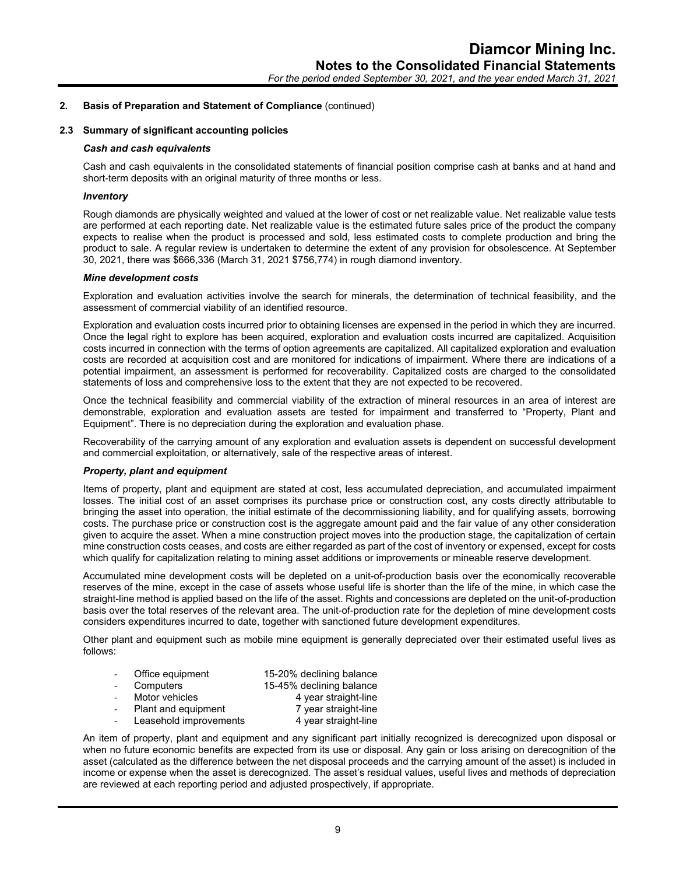#### **2.3 Summary of significant accounting policies**

#### *Cash and cash equivalents*

Cash and cash equivalents in the consolidated statements of financial position comprise cash at banks and at hand and short-term deposits with an original maturity of three months or less.

#### *Inventory*

Rough diamonds are physically weighted and valued at the lower of cost or net realizable value. Net realizable value tests are performed at each reporting date. Net realizable value is the estimated future sales price of the product the company expects to realise when the product is processed and sold, less estimated costs to complete production and bring the product to sale. A regular review is undertaken to determine the extent of any provision for obsolescence. At September 30, 2021, there was \$666,336 (March 31, 2021 \$756,774) in rough diamond inventory.

#### *Mine development costs*

Exploration and evaluation activities involve the search for minerals, the determination of technical feasibility, and the assessment of commercial viability of an identified resource.

Exploration and evaluation costs incurred prior to obtaining licenses are expensed in the period in which they are incurred. Once the legal right to explore has been acquired, exploration and evaluation costs incurred are capitalized. Acquisition costs incurred in connection with the terms of option agreements are capitalized. All capitalized exploration and evaluation costs are recorded at acquisition cost and are monitored for indications of impairment. Where there are indications of a potential impairment, an assessment is performed for recoverability. Capitalized costs are charged to the consolidated statements of loss and comprehensive loss to the extent that they are not expected to be recovered.

Once the technical feasibility and commercial viability of the extraction of mineral resources in an area of interest are demonstrable, exploration and evaluation assets are tested for impairment and transferred to "Property, Plant and Equipment". There is no depreciation during the exploration and evaluation phase.

Recoverability of the carrying amount of any exploration and evaluation assets is dependent on successful development and commercial exploitation, or alternatively, sale of the respective areas of interest.

#### *Property, plant and equipment*

Items of property, plant and equipment are stated at cost, less accumulated depreciation, and accumulated impairment losses. The initial cost of an asset comprises its purchase price or construction cost, any costs directly attributable to bringing the asset into operation, the initial estimate of the decommissioning liability, and for qualifying assets, borrowing costs. The purchase price or construction cost is the aggregate amount paid and the fair value of any other consideration given to acquire the asset. When a mine construction project moves into the production stage, the capitalization of certain mine construction costs ceases, and costs are either regarded as part of the cost of inventory or expensed, except for costs which qualify for capitalization relating to mining asset additions or improvements or mineable reserve development.

Accumulated mine development costs will be depleted on a unit-of-production basis over the economically recoverable reserves of the mine, except in the case of assets whose useful life is shorter than the life of the mine, in which case the straight-line method is applied based on the life of the asset. Rights and concessions are depleted on the unit-of-production basis over the total reserves of the relevant area. The unit-of-production rate for the depletion of mine development costs considers expenditures incurred to date, together with sanctioned future development expenditures.

Other plant and equipment such as mobile mine equipment is generally depreciated over their estimated useful lives as follows:

| $\overline{\phantom{a}}$ | Office equipment | 15-20% declining balance |
|--------------------------|------------------|--------------------------|
| $\overline{a}$           | Computers        | 15-45% declining balance |
|                          |                  | .                        |

- Motor vehicles 4 year straight-line
	- Plant and equipment 7 year straight-line
- Leasehold improvements 4 year straight-line

An item of property, plant and equipment and any significant part initially recognized is derecognized upon disposal or when no future economic benefits are expected from its use or disposal. Any gain or loss arising on derecognition of the asset (calculated as the difference between the net disposal proceeds and the carrying amount of the asset) is included in income or expense when the asset is derecognized. The asset's residual values, useful lives and methods of depreciation are reviewed at each reporting period and adjusted prospectively, if appropriate.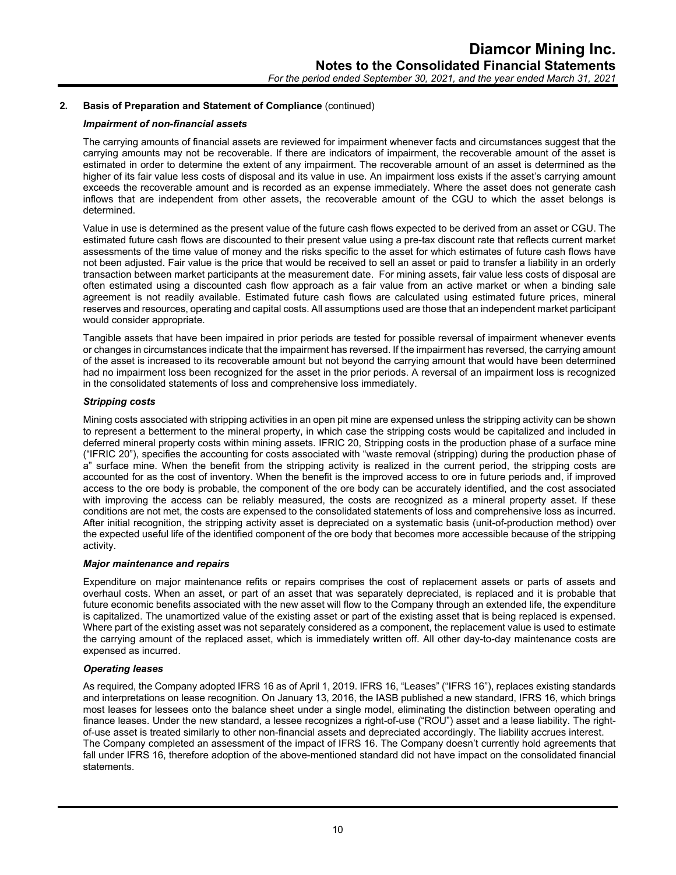#### *Impairment of non-financial assets*

The carrying amounts of financial assets are reviewed for impairment whenever facts and circumstances suggest that the carrying amounts may not be recoverable. If there are indicators of impairment, the recoverable amount of the asset is estimated in order to determine the extent of any impairment. The recoverable amount of an asset is determined as the higher of its fair value less costs of disposal and its value in use. An impairment loss exists if the asset's carrying amount exceeds the recoverable amount and is recorded as an expense immediately. Where the asset does not generate cash inflows that are independent from other assets, the recoverable amount of the CGU to which the asset belongs is determined.

Value in use is determined as the present value of the future cash flows expected to be derived from an asset or CGU. The estimated future cash flows are discounted to their present value using a pre-tax discount rate that reflects current market assessments of the time value of money and the risks specific to the asset for which estimates of future cash flows have not been adjusted. Fair value is the price that would be received to sell an asset or paid to transfer a liability in an orderly transaction between market participants at the measurement date. For mining assets, fair value less costs of disposal are often estimated using a discounted cash flow approach as a fair value from an active market or when a binding sale agreement is not readily available. Estimated future cash flows are calculated using estimated future prices, mineral reserves and resources, operating and capital costs. All assumptions used are those that an independent market participant would consider appropriate.

Tangible assets that have been impaired in prior periods are tested for possible reversal of impairment whenever events or changes in circumstances indicate that the impairment has reversed. If the impairment has reversed, the carrying amount of the asset is increased to its recoverable amount but not beyond the carrying amount that would have been determined had no impairment loss been recognized for the asset in the prior periods. A reversal of an impairment loss is recognized in the consolidated statements of loss and comprehensive loss immediately.

#### *Stripping costs*

Mining costs associated with stripping activities in an open pit mine are expensed unless the stripping activity can be shown to represent a betterment to the mineral property, in which case the stripping costs would be capitalized and included in deferred mineral property costs within mining assets. IFRIC 20, Stripping costs in the production phase of a surface mine ("IFRIC 20"), specifies the accounting for costs associated with "waste removal (stripping) during the production phase of a" surface mine. When the benefit from the stripping activity is realized in the current period, the stripping costs are accounted for as the cost of inventory. When the benefit is the improved access to ore in future periods and, if improved access to the ore body is probable, the component of the ore body can be accurately identified, and the cost associated with improving the access can be reliably measured, the costs are recognized as a mineral property asset. If these conditions are not met, the costs are expensed to the consolidated statements of loss and comprehensive loss as incurred. After initial recognition, the stripping activity asset is depreciated on a systematic basis (unit-of-production method) over the expected useful life of the identified component of the ore body that becomes more accessible because of the stripping activity.

# *Major maintenance and repairs*

Expenditure on major maintenance refits or repairs comprises the cost of replacement assets or parts of assets and overhaul costs. When an asset, or part of an asset that was separately depreciated, is replaced and it is probable that future economic benefits associated with the new asset will flow to the Company through an extended life, the expenditure is capitalized. The unamortized value of the existing asset or part of the existing asset that is being replaced is expensed. Where part of the existing asset was not separately considered as a component, the replacement value is used to estimate the carrying amount of the replaced asset, which is immediately written off. All other day-to-day maintenance costs are expensed as incurred.

#### *Operating leases*

As required, the Company adopted IFRS 16 as of April 1, 2019. IFRS 16, "Leases" ("IFRS 16"), replaces existing standards and interpretations on lease recognition. On January 13, 2016, the IASB published a new standard, IFRS 16, which brings most leases for lessees onto the balance sheet under a single model, eliminating the distinction between operating and finance leases. Under the new standard, a lessee recognizes a right-of-use ("ROU") asset and a lease liability. The rightof-use asset is treated similarly to other non-financial assets and depreciated accordingly. The liability accrues interest. The Company completed an assessment of the impact of IFRS 16. The Company doesn't currently hold agreements that fall under IFRS 16, therefore adoption of the above-mentioned standard did not have impact on the consolidated financial statements.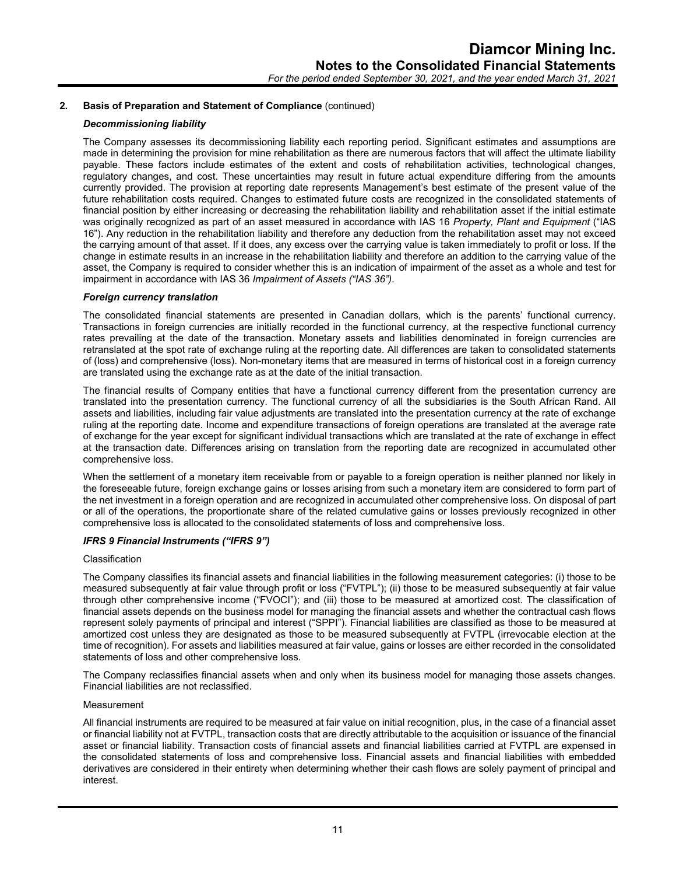#### *Decommissioning liability*

The Company assesses its decommissioning liability each reporting period. Significant estimates and assumptions are made in determining the provision for mine rehabilitation as there are numerous factors that will affect the ultimate liability payable. These factors include estimates of the extent and costs of rehabilitation activities, technological changes, regulatory changes, and cost. These uncertainties may result in future actual expenditure differing from the amounts currently provided. The provision at reporting date represents Management's best estimate of the present value of the future rehabilitation costs required. Changes to estimated future costs are recognized in the consolidated statements of financial position by either increasing or decreasing the rehabilitation liability and rehabilitation asset if the initial estimate was originally recognized as part of an asset measured in accordance with IAS 16 *Property, Plant and Equipment* ("IAS 16"). Any reduction in the rehabilitation liability and therefore any deduction from the rehabilitation asset may not exceed the carrying amount of that asset. If it does, any excess over the carrying value is taken immediately to profit or loss. If the change in estimate results in an increase in the rehabilitation liability and therefore an addition to the carrying value of the asset, the Company is required to consider whether this is an indication of impairment of the asset as a whole and test for impairment in accordance with IAS 36 *Impairment of Assets ("IAS 36")*.

#### *Foreign currency translation*

The consolidated financial statements are presented in Canadian dollars, which is the parents' functional currency. Transactions in foreign currencies are initially recorded in the functional currency, at the respective functional currency rates prevailing at the date of the transaction. Monetary assets and liabilities denominated in foreign currencies are retranslated at the spot rate of exchange ruling at the reporting date. All differences are taken to consolidated statements of (loss) and comprehensive (loss). Non-monetary items that are measured in terms of historical cost in a foreign currency are translated using the exchange rate as at the date of the initial transaction.

The financial results of Company entities that have a functional currency different from the presentation currency are translated into the presentation currency. The functional currency of all the subsidiaries is the South African Rand. All assets and liabilities, including fair value adjustments are translated into the presentation currency at the rate of exchange ruling at the reporting date. Income and expenditure transactions of foreign operations are translated at the average rate of exchange for the year except for significant individual transactions which are translated at the rate of exchange in effect at the transaction date. Differences arising on translation from the reporting date are recognized in accumulated other comprehensive loss.

When the settlement of a monetary item receivable from or payable to a foreign operation is neither planned nor likely in the foreseeable future, foreign exchange gains or losses arising from such a monetary item are considered to form part of the net investment in a foreign operation and are recognized in accumulated other comprehensive loss. On disposal of part or all of the operations, the proportionate share of the related cumulative gains or losses previously recognized in other comprehensive loss is allocated to the consolidated statements of loss and comprehensive loss.

#### *IFRS 9 Financial Instruments ("IFRS 9")*

#### Classification

The Company classifies its financial assets and financial liabilities in the following measurement categories: (i) those to be measured subsequently at fair value through profit or loss ("FVTPL"); (ii) those to be measured subsequently at fair value through other comprehensive income ("FVOCI"); and (iii) those to be measured at amortized cost. The classification of financial assets depends on the business model for managing the financial assets and whether the contractual cash flows represent solely payments of principal and interest ("SPPI"). Financial liabilities are classified as those to be measured at amortized cost unless they are designated as those to be measured subsequently at FVTPL (irrevocable election at the time of recognition). For assets and liabilities measured at fair value, gains or losses are either recorded in the consolidated statements of loss and other comprehensive loss.

The Company reclassifies financial assets when and only when its business model for managing those assets changes. Financial liabilities are not reclassified.

#### Measurement

All financial instruments are required to be measured at fair value on initial recognition, plus, in the case of a financial asset or financial liability not at FVTPL, transaction costs that are directly attributable to the acquisition or issuance of the financial asset or financial liability. Transaction costs of financial assets and financial liabilities carried at FVTPL are expensed in the consolidated statements of loss and comprehensive loss. Financial assets and financial liabilities with embedded derivatives are considered in their entirety when determining whether their cash flows are solely payment of principal and interest.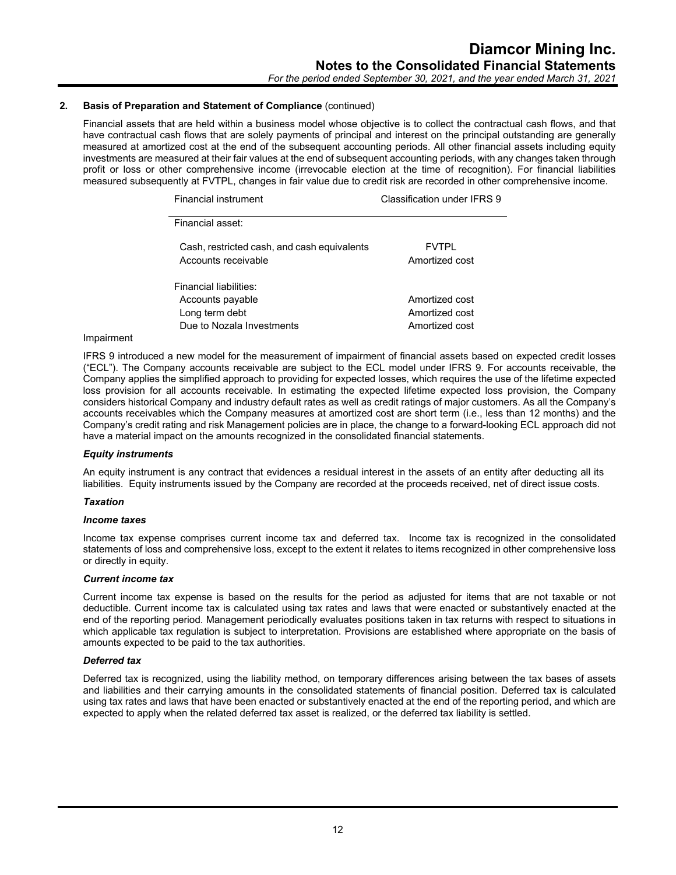Financial assets that are held within a business model whose objective is to collect the contractual cash flows, and that have contractual cash flows that are solely payments of principal and interest on the principal outstanding are generally measured at amortized cost at the end of the subsequent accounting periods. All other financial assets including equity investments are measured at their fair values at the end of subsequent accounting periods, with any changes taken through profit or loss or other comprehensive income (irrevocable election at the time of recognition). For financial liabilities measured subsequently at FVTPL, changes in fair value due to credit risk are recorded in other comprehensive income.

| Financial instrument                                               | Classification under IFRS 9    |
|--------------------------------------------------------------------|--------------------------------|
| Financial asset:                                                   |                                |
| Cash, restricted cash, and cash equivalents<br>Accounts receivable | <b>FVTPI</b><br>Amortized cost |
| Financial liabilities:                                             |                                |
| Accounts payable                                                   | Amortized cost                 |
| Long term debt                                                     | Amortized cost                 |
| Due to Nozala Investments                                          | Amortized cost                 |

#### Impairment

IFRS 9 introduced a new model for the measurement of impairment of financial assets based on expected credit losses ("ECL"). The Company accounts receivable are subject to the ECL model under IFRS 9. For accounts receivable, the Company applies the simplified approach to providing for expected losses, which requires the use of the lifetime expected loss provision for all accounts receivable. In estimating the expected lifetime expected loss provision, the Company considers historical Company and industry default rates as well as credit ratings of major customers. As all the Company's accounts receivables which the Company measures at amortized cost are short term (i.e., less than 12 months) and the Company's credit rating and risk Management policies are in place, the change to a forward-looking ECL approach did not have a material impact on the amounts recognized in the consolidated financial statements.

#### *Equity instruments*

An equity instrument is any contract that evidences a residual interest in the assets of an entity after deducting all its liabilities. Equity instruments issued by the Company are recorded at the proceeds received, net of direct issue costs.

#### *Taxation*

#### *Income taxes*

Income tax expense comprises current income tax and deferred tax. Income tax is recognized in the consolidated statements of loss and comprehensive loss, except to the extent it relates to items recognized in other comprehensive loss or directly in equity.

#### *Current income tax*

Current income tax expense is based on the results for the period as adjusted for items that are not taxable or not deductible. Current income tax is calculated using tax rates and laws that were enacted or substantively enacted at the end of the reporting period. Management periodically evaluates positions taken in tax returns with respect to situations in which applicable tax regulation is subject to interpretation. Provisions are established where appropriate on the basis of amounts expected to be paid to the tax authorities.

# *Deferred tax*

Deferred tax is recognized, using the liability method, on temporary differences arising between the tax bases of assets and liabilities and their carrying amounts in the consolidated statements of financial position. Deferred tax is calculated using tax rates and laws that have been enacted or substantively enacted at the end of the reporting period, and which are expected to apply when the related deferred tax asset is realized, or the deferred tax liability is settled.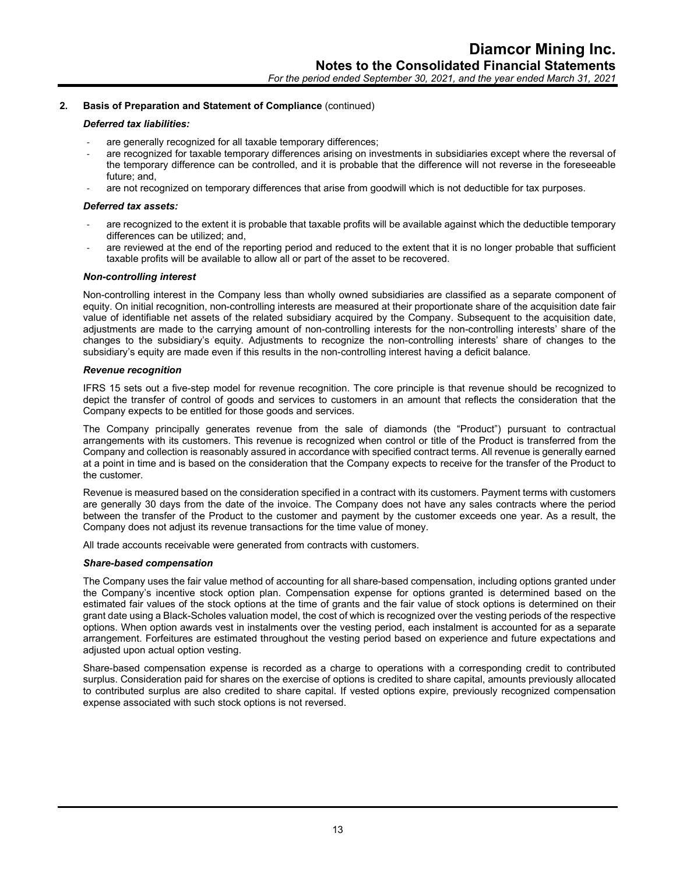#### *Deferred tax liabilities:*

- are generally recognized for all taxable temporary differences;
- are recognized for taxable temporary differences arising on investments in subsidiaries except where the reversal of the temporary difference can be controlled, and it is probable that the difference will not reverse in the foreseeable future; and,
- are not recognized on temporary differences that arise from goodwill which is not deductible for tax purposes.

# *Deferred tax assets:*

- are recognized to the extent it is probable that taxable profits will be available against which the deductible temporary differences can be utilized; and,
- are reviewed at the end of the reporting period and reduced to the extent that it is no longer probable that sufficient taxable profits will be available to allow all or part of the asset to be recovered.

# *Non-controlling interest*

Non-controlling interest in the Company less than wholly owned subsidiaries are classified as a separate component of equity. On initial recognition, non-controlling interests are measured at their proportionate share of the acquisition date fair value of identifiable net assets of the related subsidiary acquired by the Company. Subsequent to the acquisition date, adjustments are made to the carrying amount of non-controlling interests for the non-controlling interests' share of the changes to the subsidiary's equity. Adjustments to recognize the non-controlling interests' share of changes to the subsidiary's equity are made even if this results in the non-controlling interest having a deficit balance.

#### *Revenue recognition*

IFRS 15 sets out a five-step model for revenue recognition. The core principle is that revenue should be recognized to depict the transfer of control of goods and services to customers in an amount that reflects the consideration that the Company expects to be entitled for those goods and services.

The Company principally generates revenue from the sale of diamonds (the "Product") pursuant to contractual arrangements with its customers. This revenue is recognized when control or title of the Product is transferred from the Company and collection is reasonably assured in accordance with specified contract terms. All revenue is generally earned at a point in time and is based on the consideration that the Company expects to receive for the transfer of the Product to the customer.

Revenue is measured based on the consideration specified in a contract with its customers. Payment terms with customers are generally 30 days from the date of the invoice. The Company does not have any sales contracts where the period between the transfer of the Product to the customer and payment by the customer exceeds one year. As a result, the Company does not adjust its revenue transactions for the time value of money.

All trade accounts receivable were generated from contracts with customers.

#### *Share-based compensation*

The Company uses the fair value method of accounting for all share-based compensation, including options granted under the Company's incentive stock option plan. Compensation expense for options granted is determined based on the estimated fair values of the stock options at the time of grants and the fair value of stock options is determined on their grant date using a Black-Scholes valuation model, the cost of which is recognized over the vesting periods of the respective options. When option awards vest in instalments over the vesting period, each instalment is accounted for as a separate arrangement. Forfeitures are estimated throughout the vesting period based on experience and future expectations and adjusted upon actual option vesting.

Share-based compensation expense is recorded as a charge to operations with a corresponding credit to contributed surplus. Consideration paid for shares on the exercise of options is credited to share capital, amounts previously allocated to contributed surplus are also credited to share capital. If vested options expire, previously recognized compensation expense associated with such stock options is not reversed.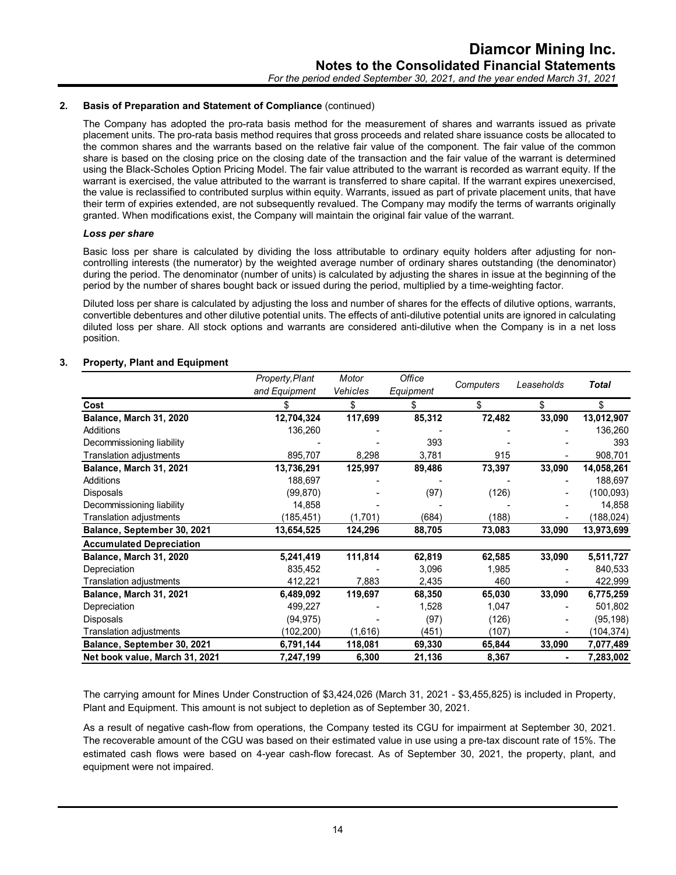The Company has adopted the pro-rata basis method for the measurement of shares and warrants issued as private placement units. The pro-rata basis method requires that gross proceeds and related share issuance costs be allocated to the common shares and the warrants based on the relative fair value of the component. The fair value of the common share is based on the closing price on the closing date of the transaction and the fair value of the warrant is determined using the Black-Scholes Option Pricing Model. The fair value attributed to the warrant is recorded as warrant equity. If the warrant is exercised, the value attributed to the warrant is transferred to share capital. If the warrant expires unexercised, the value is reclassified to contributed surplus within equity. Warrants, issued as part of private placement units, that have their term of expiries extended, are not subsequently revalued. The Company may modify the terms of warrants originally granted. When modifications exist, the Company will maintain the original fair value of the warrant.

#### *Loss per share*

Basic loss per share is calculated by dividing the loss attributable to ordinary equity holders after adjusting for noncontrolling interests (the numerator) by the weighted average number of ordinary shares outstanding (the denominator) during the period. The denominator (number of units) is calculated by adjusting the shares in issue at the beginning of the period by the number of shares bought back or issued during the period, multiplied by a time-weighting factor.

Diluted loss per share is calculated by adjusting the loss and number of shares for the effects of dilutive options, warrants, convertible debentures and other dilutive potential units. The effects of anti-dilutive potential units are ignored in calculating diluted loss per share. All stock options and warrants are considered anti-dilutive when the Company is in a net loss position.

# **3. Property, Plant and Equipment**

|                                 | Property, Plant | Motor    | Office    |           |            |              |
|---------------------------------|-----------------|----------|-----------|-----------|------------|--------------|
|                                 | and Equipment   | Vehicles | Equipment | Computers | Leaseholds | <b>Total</b> |
| Cost                            |                 | \$       | \$        | S.        | \$         | \$           |
| Balance, March 31, 2020         | 12,704,324      | 117,699  | 85,312    | 72,482    | 33,090     | 13,012,907   |
| Additions                       | 136,260         |          |           |           |            | 136,260      |
| Decommissioning liability       |                 |          | 393       |           |            | 393          |
| Translation adjustments         | 895,707         | 8,298    | 3,781     | 915       |            | 908,701      |
| Balance, March 31, 2021         | 13,736,291      | 125,997  | 89,486    | 73,397    | 33,090     | 14,058,261   |
| <b>Additions</b>                | 188,697         |          |           |           |            | 188,697      |
| Disposals                       | (99, 870)       |          | (97)      | (126)     |            | (100,093)    |
| Decommissioning liability       | 14,858          |          |           |           |            | 14,858       |
| Translation adjustments         | (185, 451)      | (1,701)  | (684)     | (188)     |            | (188, 024)   |
| Balance, September 30, 2021     | 13,654,525      | 124,296  | 88,705    | 73,083    | 33,090     | 13,973,699   |
| <b>Accumulated Depreciation</b> |                 |          |           |           |            |              |
| Balance, March 31, 2020         | 5,241,419       | 111,814  | 62,819    | 62,585    | 33,090     | 5,511,727    |
| Depreciation                    | 835,452         |          | 3,096     | 1,985     |            | 840,533      |
| Translation adjustments         | 412,221         | 7,883    | 2,435     | 460       |            | 422,999      |
| Balance, March 31, 2021         | 6,489,092       | 119,697  | 68,350    | 65,030    | 33,090     | 6,775,259    |
| Depreciation                    | 499,227         |          | 1,528     | 1,047     |            | 501,802      |
| Disposals                       | (94, 975)       |          | (97)      | (126)     |            | (95, 198)    |
| Translation adjustments         | (102, 200)      | (1,616)  | (451)     | (107)     |            | (104, 374)   |
| Balance, September 30, 2021     | 6,791,144       | 118,081  | 69,330    | 65,844    | 33,090     | 7,077,489    |
| Net book value, March 31, 2021  | 7,247,199       | 6,300    | 21,136    | 8,367     |            | 7,283,002    |

The carrying amount for Mines Under Construction of \$3,424,026 (March 31, 2021 - \$3,455,825) is included in Property, Plant and Equipment. This amount is not subject to depletion as of September 30, 2021.

As a result of negative cash-flow from operations, the Company tested its CGU for impairment at September 30, 2021. The recoverable amount of the CGU was based on their estimated value in use using a pre-tax discount rate of 15%. The estimated cash flows were based on 4-year cash-flow forecast. As of September 30, 2021, the property, plant, and equipment were not impaired.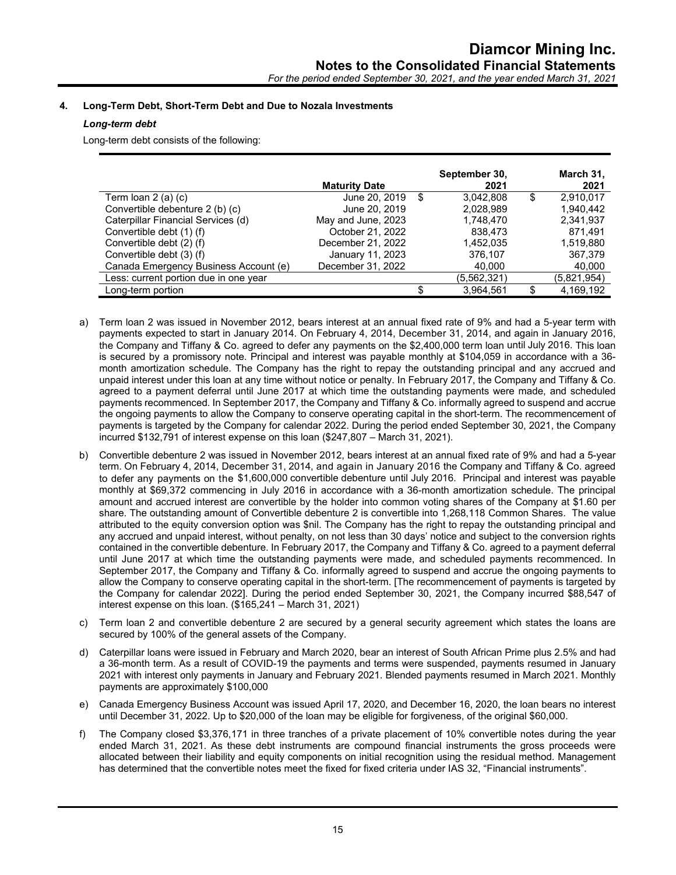# **4. Long-Term Debt, Short-Term Debt and Due to Nozala Investments**

# *Long-term debt*

Long-term debt consists of the following:

|                                       | <b>Maturity Date</b> | September 30,<br>2021 | March 31,<br>2021 |
|---------------------------------------|----------------------|-----------------------|-------------------|
| Term Ioan 2 (a) (c)                   | June 20, 2019        | \$<br>3,042,808       | \$<br>2,910,017   |
| Convertible debenture 2 (b) (c)       | June 20, 2019        | 2,028,989             | 1.940.442         |
| Caterpillar Financial Services (d)    | May and June, 2023   | 1,748,470             | 2,341,937         |
| Convertible debt (1) (f)              | October 21, 2022     | 838.473               | 871.491           |
| Convertible debt (2) (f)              | December 21, 2022    | 1,452,035             | 1,519,880         |
| Convertible debt (3) (f)              | January 11, 2023     | 376,107               | 367,379           |
| Canada Emergency Business Account (e) | December 31, 2022    | 40,000                | 40,000            |
| Less: current portion due in one year |                      | (5,562,321)           | (5,821,954)       |
| Long-term portion                     |                      | 3,964,561             | 4,169,192         |

- a) Term loan 2 was issued in November 2012, bears interest at an annual fixed rate of 9% and had a 5-year term with payments expected to start in January 2014. On February 4, 2014, December 31, 2014, and again in January 2016, the Company and Tiffany & Co. agreed to defer any payments on the \$2,400,000 term loan until July 2016. This loan is secured by a promissory note. Principal and interest was payable monthly at \$104,059 in accordance with a 36 month amortization schedule. The Company has the right to repay the outstanding principal and any accrued and unpaid interest under this loan at any time without notice or penalty. In February 2017, the Company and Tiffany & Co. agreed to a payment deferral until June 2017 at which time the outstanding payments were made, and scheduled payments recommenced. In September 2017, the Company and Tiffany & Co. informally agreed to suspend and accrue the ongoing payments to allow the Company to conserve operating capital in the short-term. The recommencement of payments is targeted by the Company for calendar 2022. During the period ended September 30, 2021, the Company incurred \$132,791 of interest expense on this loan (\$247,807 – March 31, 2021).
- b) Convertible debenture 2 was issued in November 2012, bears interest at an annual fixed rate of 9% and had a 5-year term. On February 4, 2014, December 31, 2014, and again in January 2016 the Company and Tiffany & Co. agreed to defer any payments on the \$1,600,000 convertible debenture until July 2016. Principal and interest was payable monthly at \$69,372 commencing in July 2016 in accordance with a 36-month amortization schedule. The principal amount and accrued interest are convertible by the holder into common voting shares of the Company at \$1.60 per share. The outstanding amount of Convertible debenture 2 is convertible into 1,268,118 Common Shares. The value attributed to the equity conversion option was \$nil. The Company has the right to repay the outstanding principal and any accrued and unpaid interest, without penalty, on not less than 30 days' notice and subject to the conversion rights contained in the convertible debenture. In February 2017, the Company and Tiffany & Co. agreed to a payment deferral until June 2017 at which time the outstanding payments were made, and scheduled payments recommenced. In September 2017, the Company and Tiffany & Co. informally agreed to suspend and accrue the ongoing payments to allow the Company to conserve operating capital in the short-term. [The recommencement of payments is targeted by the Company for calendar 2022]. During the period ended September 30, 2021, the Company incurred \$88,547 of interest expense on this loan. (\$165,241 – March 31, 2021)
- c) Term loan 2 and convertible debenture 2 are secured by a general security agreement which states the loans are secured by 100% of the general assets of the Company.
- d) Caterpillar loans were issued in February and March 2020, bear an interest of South African Prime plus 2.5% and had a 36-month term. As a result of COVID-19 the payments and terms were suspended, payments resumed in January 2021 with interest only payments in January and February 2021. Blended payments resumed in March 2021. Monthly payments are approximately \$100,000
- e) Canada Emergency Business Account was issued April 17, 2020, and December 16, 2020, the loan bears no interest until December 31, 2022. Up to \$20,000 of the loan may be eligible for forgiveness, of the original \$60,000.
- f) The Company closed \$3,376,171 in three tranches of a private placement of 10% convertible notes during the year ended March 31, 2021. As these debt instruments are compound financial instruments the gross proceeds were allocated between their liability and equity components on initial recognition using the residual method. Management has determined that the convertible notes meet the fixed for fixed criteria under IAS 32, "Financial instruments".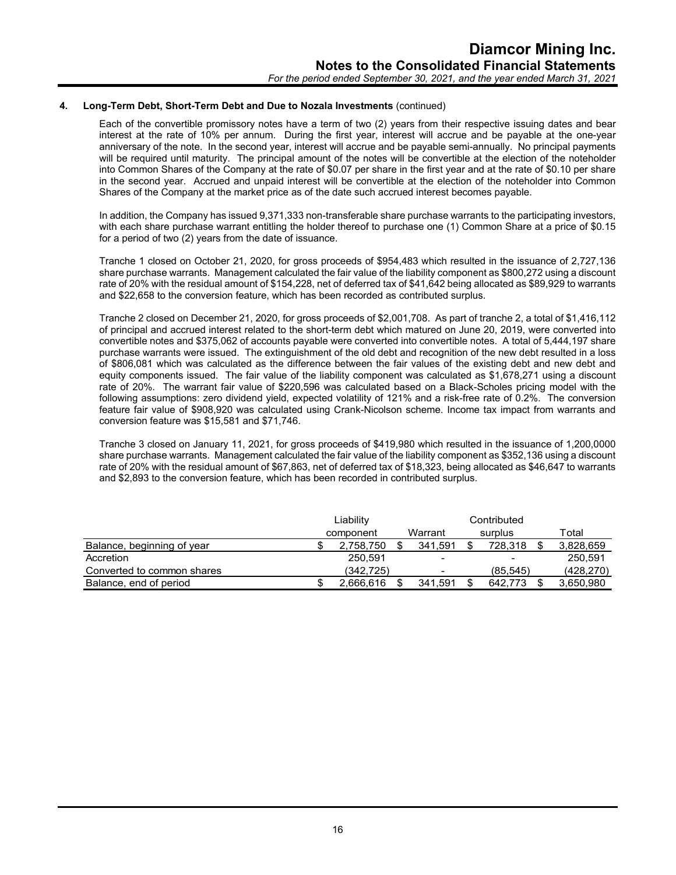#### **4. Long-Term Debt, Short-Term Debt and Due to Nozala Investments** (continued)

Each of the convertible promissory notes have a term of two (2) years from their respective issuing dates and bear interest at the rate of 10% per annum. During the first year, interest will accrue and be payable at the one-year anniversary of the note. In the second year, interest will accrue and be payable semi-annually. No principal payments will be required until maturity. The principal amount of the notes will be convertible at the election of the noteholder into Common Shares of the Company at the rate of \$0.07 per share in the first year and at the rate of \$0.10 per share in the second year. Accrued and unpaid interest will be convertible at the election of the noteholder into Common Shares of the Company at the market price as of the date such accrued interest becomes payable.

In addition, the Company has issued 9,371,333 non-transferable share purchase warrants to the participating investors, with each share purchase warrant entitling the holder thereof to purchase one (1) Common Share at a price of \$0.15 for a period of two (2) years from the date of issuance.

Tranche 1 closed on October 21, 2020, for gross proceeds of \$954,483 which resulted in the issuance of 2,727,136 share purchase warrants. Management calculated the fair value of the liability component as \$800,272 using a discount rate of 20% with the residual amount of \$154,228, net of deferred tax of \$41,642 being allocated as \$89,929 to warrants and \$22,658 to the conversion feature, which has been recorded as contributed surplus.

Tranche 2 closed on December 21, 2020, for gross proceeds of \$2,001,708. As part of tranche 2, a total of \$1,416,112 of principal and accrued interest related to the short-term debt which matured on June 20, 2019, were converted into convertible notes and \$375,062 of accounts payable were converted into convertible notes. A total of 5,444,197 share purchase warrants were issued. The extinguishment of the old debt and recognition of the new debt resulted in a loss of \$806,081 which was calculated as the difference between the fair values of the existing debt and new debt and equity components issued. The fair value of the liability component was calculated as \$1,678,271 using a discount rate of 20%. The warrant fair value of \$220,596 was calculated based on a Black-Scholes pricing model with the following assumptions: zero dividend yield, expected volatility of 121% and a risk-free rate of 0.2%. The conversion feature fair value of \$908,920 was calculated using Crank-Nicolson scheme. Income tax impact from warrants and conversion feature was \$15,581 and \$71,746.

Tranche 3 closed on January 11, 2021, for gross proceeds of \$419,980 which resulted in the issuance of 1,200,0000 share purchase warrants. Management calculated the fair value of the liability component as \$352,136 using a discount rate of 20% with the residual amount of \$67,863, net of deferred tax of \$18,323, being allocated as \$46,647 to warrants and \$2,893 to the conversion feature, which has been recorded in contributed surplus.

|                            | Liability |           |  |                          | Contributed              |            |
|----------------------------|-----------|-----------|--|--------------------------|--------------------------|------------|
|                            |           | component |  | Warrant                  | surplus                  | Total      |
| Balance, beginning of year |           | 2.758.750 |  | 341.591                  | 728.318                  | 3,828,659  |
| Accretion                  |           | 250.591   |  | $\sim$                   | $\overline{\phantom{0}}$ | 250,591    |
| Converted to common shares |           | (342.725) |  | $\overline{\phantom{0}}$ | (85.545)                 | (428, 270) |
| Balance, end of period     |           | 2.666.616 |  | 341.591                  | 642.773                  | 3,650,980  |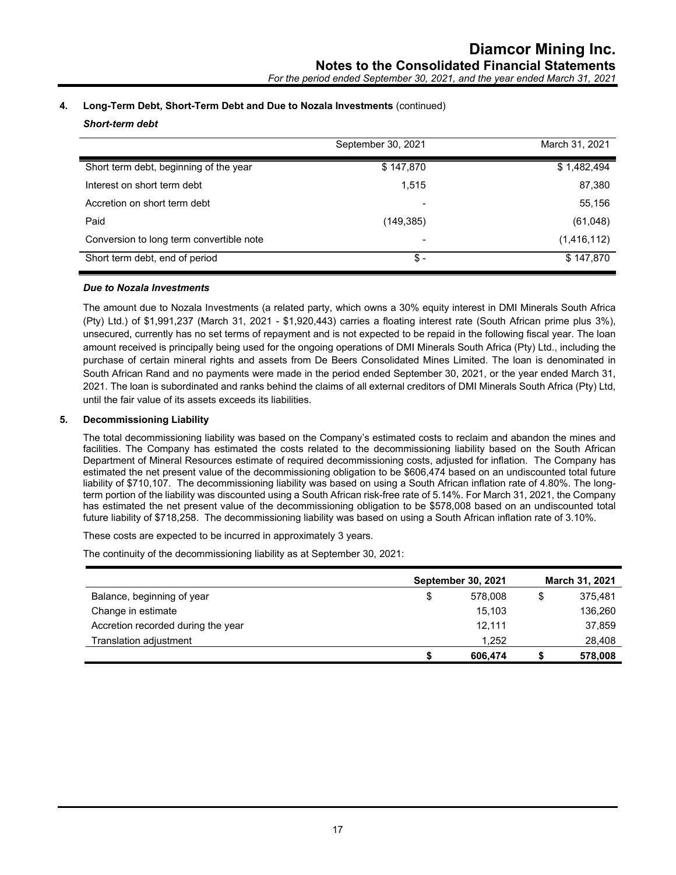# **4. Long-Term Debt, Short-Term Debt and Due to Nozala Investments** (continued)

*Short-term debt*

|                                          | September 30, 2021 | March 31, 2021 |
|------------------------------------------|--------------------|----------------|
| Short term debt, beginning of the year   | \$147,870          | \$1,482,494    |
| Interest on short term debt              | 1,515              | 87,380         |
| Accretion on short term debt             |                    | 55,156         |
| Paid                                     | (149, 385)         | (61,048)       |
| Conversion to long term convertible note | -                  | (1,416,112)    |
| Short term debt, end of period           | \$-                | \$147,870      |

# *Due to Nozala Investments*

The amount due to Nozala Investments (a related party, which owns a 30% equity interest in DMI Minerals South Africa (Pty) Ltd.) of \$1,991,237 (March 31, 2021 - \$1,920,443) carries a floating interest rate (South African prime plus 3%), unsecured, currently has no set terms of repayment and is not expected to be repaid in the following fiscal year. The loan amount received is principally being used for the ongoing operations of DMI Minerals South Africa (Pty) Ltd., including the purchase of certain mineral rights and assets from De Beers Consolidated Mines Limited. The loan is denominated in South African Rand and no payments were made in the period ended September 30, 2021, or the year ended March 31, 2021. The loan is subordinated and ranks behind the claims of all external creditors of DMI Minerals South Africa (Pty) Ltd, until the fair value of its assets exceeds its liabilities.

# **5. Decommissioning Liability**

The total decommissioning liability was based on the Company's estimated costs to reclaim and abandon the mines and facilities. The Company has estimated the costs related to the decommissioning liability based on the South African Department of Mineral Resources estimate of required decommissioning costs, adjusted for inflation. The Company has estimated the net present value of the decommissioning obligation to be \$606,474 based on an undiscounted total future liability of \$710,107. The decommissioning liability was based on using a South African inflation rate of 4.80%. The longterm portion of the liability was discounted using a South African risk-free rate of 5.14%. For March 31, 2021, the Company has estimated the net present value of the decommissioning obligation to be \$578,008 based on an undiscounted total future liability of \$718,258. The decommissioning liability was based on using a South African inflation rate of 3.10%.

These costs are expected to be incurred in approximately 3 years.

The continuity of the decommissioning liability as at September 30, 2021:

|                                    | <b>September 30, 2021</b> |   | March 31, 2021 |
|------------------------------------|---------------------------|---|----------------|
| Balance, beginning of year         | \$<br>578,008             | S | 375.481        |
| Change in estimate                 | 15,103                    |   | 136,260        |
| Accretion recorded during the year | 12.111                    |   | 37,859         |
| Translation adjustment             | 1.252                     |   | 28,408         |
|                                    | 606,474                   |   | 578,008        |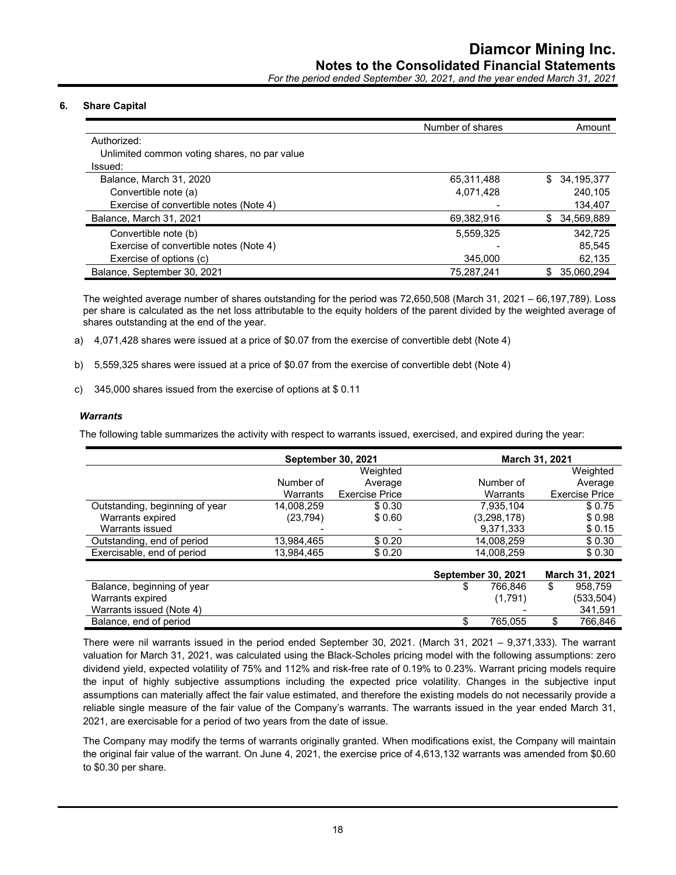*For the period ended September 30, 2021, and the year ended March 31, 2021*

# **6. Share Capital**

|                                              | Number of shares | Amount            |
|----------------------------------------------|------------------|-------------------|
| Authorized:                                  |                  |                   |
| Unlimited common voting shares, no par value |                  |                   |
| Issued:                                      |                  |                   |
| Balance, March 31, 2020                      | 65,311,488       | 34,195,377<br>\$. |
| Convertible note (a)                         | 4,071,428        | 240.105           |
| Exercise of convertible notes (Note 4)       |                  | 134,407           |
| Balance, March 31, 2021                      | 69,382,916       | 34,569,889<br>\$  |
| Convertible note (b)                         | 5,559,325        | 342.725           |
| Exercise of convertible notes (Note 4)       |                  | 85.545            |
| Exercise of options (c)                      | 345.000          | 62,135            |
| Balance, September 30, 2021                  | 75,287,241       | 35,060,294        |

The weighted average number of shares outstanding for the period was 72,650,508 (March 31, 2021 – 66,197,789). Loss per share is calculated as the net loss attributable to the equity holders of the parent divided by the weighted average of shares outstanding at the end of the year.

a) 4,071,428 shares were issued at a price of \$0.07 from the exercise of convertible debt (Note 4)

b) 5,559,325 shares were issued at a price of \$0.07 from the exercise of convertible debt (Note 4)

c) 345,000 shares issued from the exercise of options at \$ 0.11

# *Warrants*

The following table summarizes the activity with respect to warrants issued, exercised, and expired during the year:

|                                |            | <b>September 30, 2021</b> |                           | March 31, 2021        |
|--------------------------------|------------|---------------------------|---------------------------|-----------------------|
|                                |            | Weighted                  |                           | Weighted              |
|                                | Number of  | Average                   | Number of                 | Average               |
|                                | Warrants   | <b>Exercise Price</b>     | Warrants                  | <b>Exercise Price</b> |
| Outstanding, beginning of year | 14,008,259 | \$0.30                    | 7,935,104                 | \$0.75                |
| Warrants expired               | (23, 794)  | \$0.60                    | (3,298,178)               | \$0.98                |
| Warrants issued                |            |                           | 9,371,333                 | \$0.15                |
| Outstanding, end of period     | 13,984,465 | \$0.20                    | 14,008,259                | \$0.30                |
| Exercisable, end of period     | 13,984,465 | \$0.20                    | 14.008.259                | \$0.30                |
|                                |            |                           | <b>September 30, 2021</b> | March 31, 2021        |
| Balance, beginning of year     |            |                           | 766.846<br>\$             | 958.759<br>\$         |
| Warrants expired               |            |                           | (1,791)                   | (533,504)             |

There were nil warrants issued in the period ended September 30, 2021. (March 31, 2021 – 9,371,333). The warrant valuation for March 31, 2021, was calculated using the Black-Scholes pricing model with the following assumptions: zero dividend yield, expected volatility of 75% and 112% and risk-free rate of 0.19% to 0.23%. Warrant pricing models require the input of highly subjective assumptions including the expected price volatility. Changes in the subjective input assumptions can materially affect the fair value estimated, and therefore the existing models do not necessarily provide a reliable single measure of the fair value of the Company's warrants. The warrants issued in the year ended March 31, 2021, are exercisable for a period of two years from the date of issue.

Warrants issued (Note 4)  $\sim$  341.59 Balance, end of period **by a 19th control of the set of the set of the set of the set of the set of the set of the set of the set of the set of the set of the set of the set of the set of the set of the set of the set of t** 

The Company may modify the terms of warrants originally granted. When modifications exist, the Company will maintain the original fair value of the warrant. On June 4, 2021, the exercise price of 4,613,132 warrants was amended from \$0.60 to \$0.30 per share.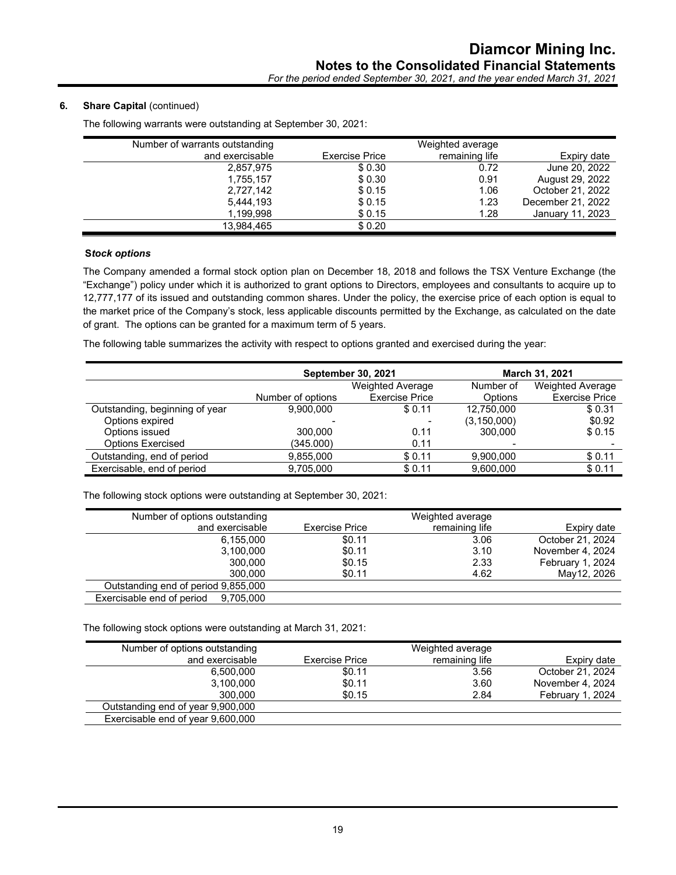# **6.** Share Capital (continued)

| Number of warrants outstanding |                       | Weighted average |                   |
|--------------------------------|-----------------------|------------------|-------------------|
| and exercisable                | <b>Exercise Price</b> | remaining life   | Expiry date       |
| 2,857,975                      | \$0.30                | 0.72             | June 20, 2022     |
| 1,755,157                      | \$0.30                | 0.91             | August 29, 2022   |
| 2,727,142                      | \$0.15                | 1.06             | October 21, 2022  |
| 5,444,193                      | \$0.15                | 1.23             | December 21, 2022 |
| 1,199,998                      | \$0.15                | 1.28             | January 11, 2023  |
| 13,984,465                     | \$0.20                |                  |                   |

The following warrants were outstanding at September 30, 2021:

# **S***tock options*

The Company amended a formal stock option plan on December 18, 2018 and follows the TSX Venture Exchange (the "Exchange") policy under which it is authorized to grant options to Directors, employees and consultants to acquire up to 12,777,177 of its issued and outstanding common shares. Under the policy, the exercise price of each option is equal to the market price of the Company's stock, less applicable discounts permitted by the Exchange, as calculated on the date of grant. The options can be granted for a maximum term of 5 years.

The following table summarizes the activity with respect to options granted and exercised during the year:

|                                | <b>September 30, 2021</b> |                         |               | March 31, 2021          |
|--------------------------------|---------------------------|-------------------------|---------------|-------------------------|
|                                |                           | <b>Weighted Average</b> |               | <b>Weighted Average</b> |
|                                | Number of options         | <b>Exercise Price</b>   | Options       | <b>Exercise Price</b>   |
| Outstanding, beginning of year | 9.900.000                 | \$0.11                  | 12,750,000    | \$0.31                  |
| Options expired                |                           |                         | (3, 150, 000) | \$0.92                  |
| Options issued                 | 300,000                   | 0.11                    | 300,000       | \$0.15                  |
| <b>Options Exercised</b>       | (345.000)                 | 0.11                    |               |                         |
| Outstanding, end of period     | 9.855.000                 | \$0.11                  | 9,900,000     | \$0.11                  |
| Exercisable, end of period     | 9.705.000                 | \$0.11                  | 9.600.000     | \$0.11                  |

The following stock options were outstanding at September 30, 2021:

| Number of options outstanding       |                | Weighted average |                  |
|-------------------------------------|----------------|------------------|------------------|
| and exercisable                     | Exercise Price | remaining life   | Expiry date      |
| 6.155.000                           | \$0.11         | 3.06             | October 21, 2024 |
| 3.100.000                           | \$0.11         | 3.10             | November 4, 2024 |
| 300,000                             | \$0.15         | 2.33             | February 1, 2024 |
| 300,000                             | \$0.11         | 4.62             | May12, 2026      |
| Outstanding end of period 9,855,000 |                |                  |                  |
| Exercisable end of period 9,705,000 |                |                  |                  |

The following stock options were outstanding at March 31, 2021:

| Number of options outstanding     |                | Weighted average |                  |
|-----------------------------------|----------------|------------------|------------------|
| and exercisable                   | Exercise Price | remaining life   | Expiry date      |
| 6.500.000                         | \$0.11         | 3.56             | October 21, 2024 |
| 3,100,000                         | \$0.11         | 3.60             | November 4, 2024 |
| 300.000                           | \$0.15         | 2.84             | February 1, 2024 |
| Outstanding end of year 9,900,000 |                |                  |                  |
| Exercisable end of year 9,600,000 |                |                  |                  |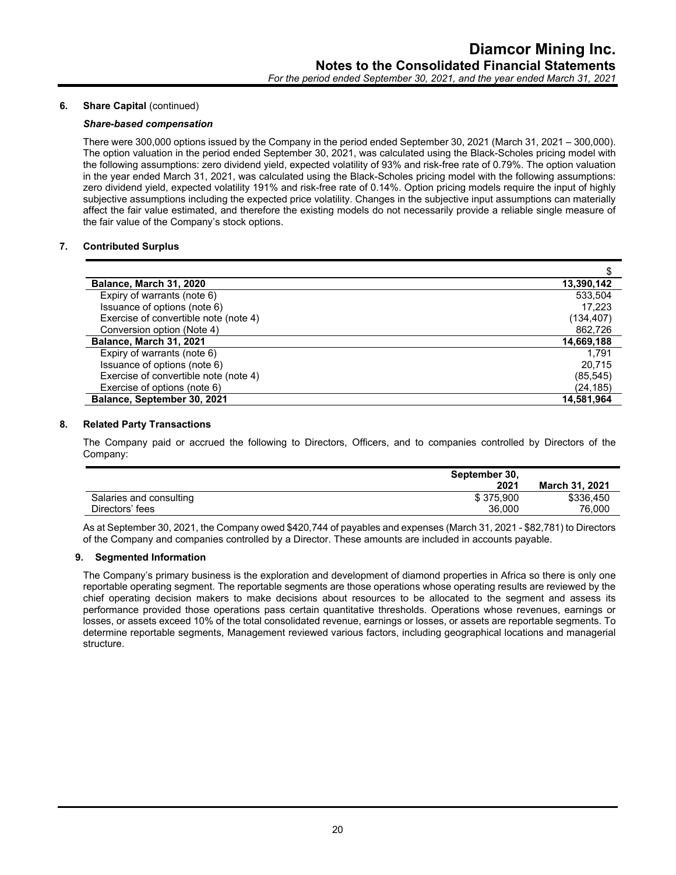#### **6.** Share Capital (continued)

# *Share-based compensation*

There were 300,000 options issued by the Company in the period ended September 30, 2021 (March 31, 2021 – 300,000). The option valuation in the period ended September 30, 2021, was calculated using the Black-Scholes pricing model with the following assumptions: zero dividend yield, expected volatility of 93% and risk-free rate of 0.79%. The option valuation in the year ended March 31, 2021, was calculated using the Black-Scholes pricing model with the following assumptions: zero dividend yield, expected volatility 191% and risk-free rate of 0.14%. Option pricing models require the input of highly subjective assumptions including the expected price volatility. Changes in the subjective input assumptions can materially affect the fair value estimated, and therefore the existing models do not necessarily provide a reliable single measure of the fair value of the Company's stock options.

# **7. Contributed Surplus**

| Balance, March 31, 2020               | 13,390,142 |
|---------------------------------------|------------|
| Expiry of warrants (note 6)           | 533,504    |
| Issuance of options (note 6)          | 17.223     |
| Exercise of convertible note (note 4) | (134, 407) |
| Conversion option (Note 4)            | 862,726    |
| Balance, March 31, 2021               | 14,669,188 |
| Expiry of warrants (note 6)           | 1.791      |
| Issuance of options (note 6)          | 20.715     |
| Exercise of convertible note (note 4) | (85, 545)  |
| Exercise of options (note 6)          | (24, 185)  |
| Balance, September 30, 2021           | 14,581,964 |

#### **8. Related Party Transactions**

The Company paid or accrued the following to Directors, Officers, and to companies controlled by Directors of the Company:

|                         | September 30. |                       |
|-------------------------|---------------|-----------------------|
|                         | 2021          | <b>March 31, 2021</b> |
| Salaries and consulting | \$375.900     | \$336.450             |
| Directors' fees         | 36.000        | 76.000                |
|                         |               |                       |

As at September 30, 2021, the Company owed \$420,744 of payables and expenses (March 31, 2021 - \$82,781) to Directors of the Company and companies controlled by a Director. These amounts are included in accounts payable.

#### **9. Segmented Information**

The Company's primary business is the exploration and development of diamond properties in Africa so there is only one reportable operating segment. The reportable segments are those operations whose operating results are reviewed by the chief operating decision makers to make decisions about resources to be allocated to the segment and assess its performance provided those operations pass certain quantitative thresholds. Operations whose revenues, earnings or losses, or assets exceed 10% of the total consolidated revenue, earnings or losses, or assets are reportable segments. To determine reportable segments, Management reviewed various factors, including geographical locations and managerial structure.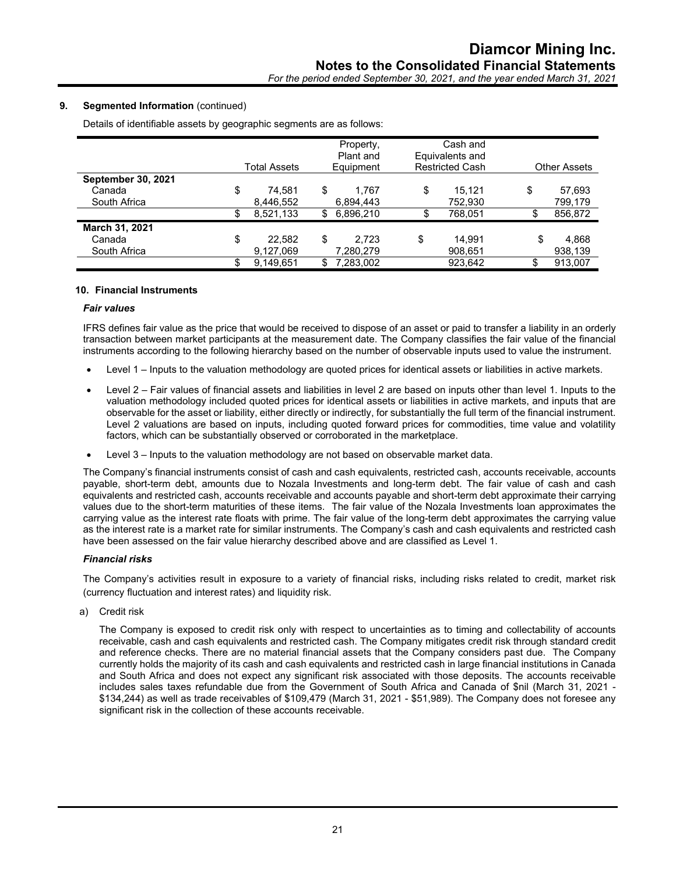# **9. Segmented Information** (continued)

Details of identifiable assets by geographic segments are as follows:

|                           | Total Assets | Property,<br>Plant and<br>Equipment |     | Cash and<br>Equivalents and<br><b>Restricted Cash</b> |    | <b>Other Assets</b> |
|---------------------------|--------------|-------------------------------------|-----|-------------------------------------------------------|----|---------------------|
| <b>September 30, 2021</b> |              |                                     |     |                                                       |    |                     |
| Canada                    | \$<br>74.581 | \$<br>1.767                         | \$  | 15.121                                                | \$ | 57,693              |
| South Africa              | 8,446,552    | 6.894.443                           |     | 752,930                                               |    | 799,179             |
|                           | 8,521,133    | \$<br>6,896,210                     | \$. | 768,051                                               |    | 856,872             |
| March 31, 2021            |              |                                     |     |                                                       |    |                     |
| Canada                    | \$<br>22,582 | \$<br>2.723                         | \$  | 14.991                                                | \$ | 4,868               |
| South Africa              | 9,127,069    | 7,280,279                           |     | 908,651                                               |    | 938,139             |
|                           | 9,149,651    | 7,283,002                           |     | 923,642                                               |    | 913.007             |

#### **10. Financial Instruments**

#### *Fair values*

IFRS defines fair value as the price that would be received to dispose of an asset or paid to transfer a liability in an orderly transaction between market participants at the measurement date. The Company classifies the fair value of the financial instruments according to the following hierarchy based on the number of observable inputs used to value the instrument.

- Level 1 Inputs to the valuation methodology are quoted prices for identical assets or liabilities in active markets.
- Level 2 Fair values of financial assets and liabilities in level 2 are based on inputs other than level 1. Inputs to the valuation methodology included quoted prices for identical assets or liabilities in active markets, and inputs that are observable for the asset or liability, either directly or indirectly, for substantially the full term of the financial instrument. Level 2 valuations are based on inputs, including quoted forward prices for commodities, time value and volatility factors, which can be substantially observed or corroborated in the marketplace.
- Level 3 Inputs to the valuation methodology are not based on observable market data.

The Company's financial instruments consist of cash and cash equivalents, restricted cash, accounts receivable, accounts payable, short-term debt, amounts due to Nozala Investments and long-term debt. The fair value of cash and cash equivalents and restricted cash, accounts receivable and accounts payable and short-term debt approximate their carrying values due to the short-term maturities of these items. The fair value of the Nozala Investments loan approximates the carrying value as the interest rate floats with prime. The fair value of the long-term debt approximates the carrying value as the interest rate is a market rate for similar instruments. The Company's cash and cash equivalents and restricted cash have been assessed on the fair value hierarchy described above and are classified as Level 1.

#### *Financial risks*

The Company's activities result in exposure to a variety of financial risks, including risks related to credit, market risk (currency fluctuation and interest rates) and liquidity risk.

a) Credit risk

The Company is exposed to credit risk only with respect to uncertainties as to timing and collectability of accounts receivable, cash and cash equivalents and restricted cash. The Company mitigates credit risk through standard credit and reference checks. There are no material financial assets that the Company considers past due. The Company currently holds the majority of its cash and cash equivalents and restricted cash in large financial institutions in Canada and South Africa and does not expect any significant risk associated with those deposits. The accounts receivable includes sales taxes refundable due from the Government of South Africa and Canada of \$nil (March 31, 2021 - \$134,244) as well as trade receivables of \$109,479 (March 31, 2021 - \$51,989). The Company does not foresee any significant risk in the collection of these accounts receivable.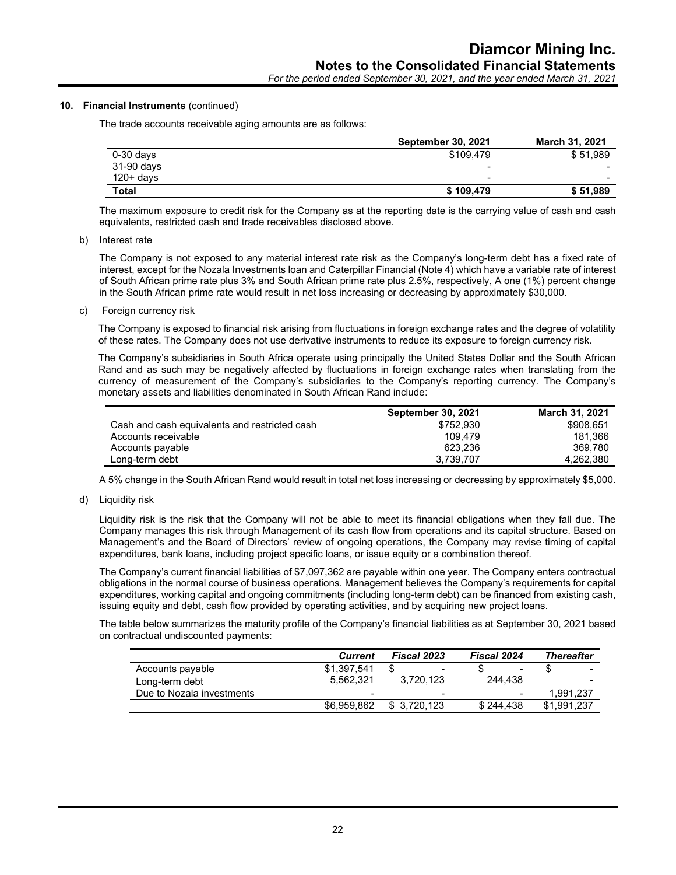# *For the period ended September 30, 2021, and the year ended March 31, 2021*

#### **10. Financial Instruments** (continued)

The trade accounts receivable aging amounts are as follows:

|             | September 30, 2021 | <b>March 31, 2021</b>    |
|-------------|--------------------|--------------------------|
| $0-30$ days | \$109.479          | \$51,989                 |
| 31-90 days  | $\,$               |                          |
| $120+ days$ | $\blacksquare$     | $\overline{\phantom{0}}$ |
| Total       | \$109.479          | \$51,989                 |

The maximum exposure to credit risk for the Company as at the reporting date is the carrying value of cash and cash equivalents, restricted cash and trade receivables disclosed above.

#### b) Interest rate

The Company is not exposed to any material interest rate risk as the Company's long-term debt has a fixed rate of interest, except for the Nozala Investments loan and Caterpillar Financial (Note 4) which have a variable rate of interest of South African prime rate plus 3% and South African prime rate plus 2.5%, respectively, A one (1%) percent change in the South African prime rate would result in net loss increasing or decreasing by approximately \$30,000.

c) Foreign currency risk

The Company is exposed to financial risk arising from fluctuations in foreign exchange rates and the degree of volatility of these rates. The Company does not use derivative instruments to reduce its exposure to foreign currency risk.

The Company's subsidiaries in South Africa operate using principally the United States Dollar and the South African Rand and as such may be negatively affected by fluctuations in foreign exchange rates when translating from the currency of measurement of the Company's subsidiaries to the Company's reporting currency. The Company's monetary assets and liabilities denominated in South African Rand include:

|                                               | <b>September 30, 2021</b> | <b>March 31, 2021</b> |
|-----------------------------------------------|---------------------------|-----------------------|
| Cash and cash equivalents and restricted cash | \$752.930                 | \$908.651             |
| Accounts receivable                           | 109.479                   | 181.366               |
| Accounts payable                              | 623.236                   | 369.780               |
| Long-term debt                                | 3.739.707                 | 4.262.380             |

A 5% change in the South African Rand would result in total net loss increasing or decreasing by approximately \$5,000.

d) Liquidity risk

Liquidity risk is the risk that the Company will not be able to meet its financial obligations when they fall due. The Company manages this risk through Management of its cash flow from operations and its capital structure. Based on Management's and the Board of Directors' review of ongoing operations, the Company may revise timing of capital expenditures, bank loans, including project specific loans, or issue equity or a combination thereof.

The Company's current financial liabilities of \$7,097,362 are payable within one year. The Company enters contractual obligations in the normal course of business operations. Management believes the Company's requirements for capital expenditures, working capital and ongoing commitments (including long-term debt) can be financed from existing cash, issuing equity and debt, cash flow provided by operating activities, and by acquiring new project loans.

The table below summarizes the maturity profile of the Company's financial liabilities as at September 30, 2021 based on contractual undiscounted payments:

|                           | Current                  | <b>Fiscal 2023</b>       | <b>Fiscal 2024</b>       | <b>Thereafter</b> |
|---------------------------|--------------------------|--------------------------|--------------------------|-------------------|
| Accounts payable          | \$1.397.541              | $\qquad \qquad$          | ۰                        | $\sim$            |
| Long-term debt            | 5.562.321                | 3.720.123                | 244.438                  |                   |
| Due to Nozala investments | $\overline{\phantom{0}}$ | $\overline{\phantom{0}}$ | $\overline{\phantom{0}}$ | 1.991.237         |
|                           | \$6.959.862              | \$3.720.123              | \$244.438                | \$1.991.237       |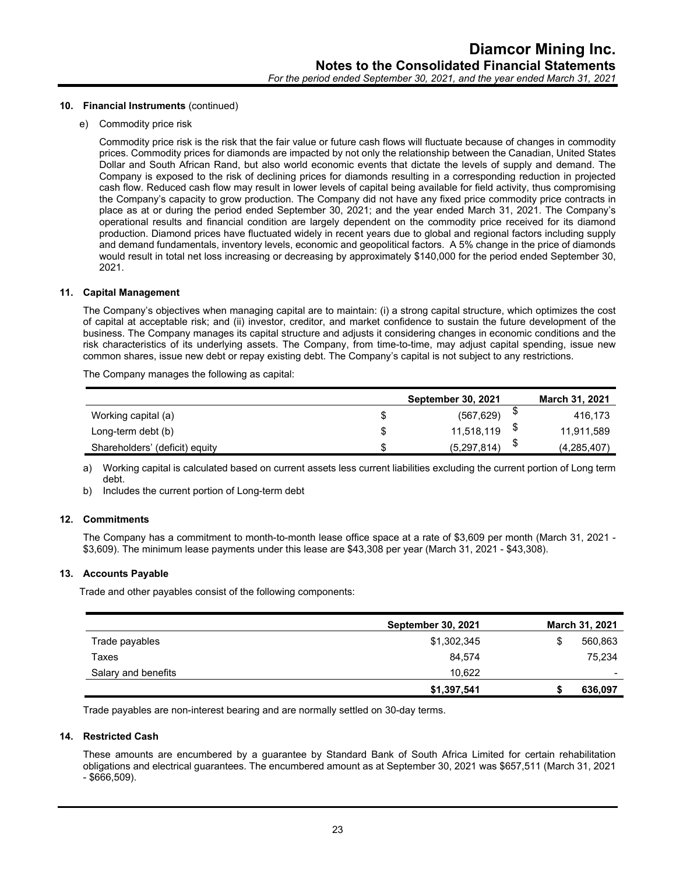#### **10. Financial Instruments** (continued)

e) Commodity price risk

Commodity price risk is the risk that the fair value or future cash flows will fluctuate because of changes in commodity prices. Commodity prices for diamonds are impacted by not only the relationship between the Canadian, United States Dollar and South African Rand, but also world economic events that dictate the levels of supply and demand. The Company is exposed to the risk of declining prices for diamonds resulting in a corresponding reduction in projected cash flow. Reduced cash flow may result in lower levels of capital being available for field activity, thus compromising the Company's capacity to grow production. The Company did not have any fixed price commodity price contracts in place as at or during the period ended September 30, 2021; and the year ended March 31, 2021. The Company's operational results and financial condition are largely dependent on the commodity price received for its diamond production. Diamond prices have fluctuated widely in recent years due to global and regional factors including supply and demand fundamentals, inventory levels, economic and geopolitical factors. A 5% change in the price of diamonds would result in total net loss increasing or decreasing by approximately \$140,000 for the period ended September 30, 2021.

#### **11. Capital Management**

The Company's objectives when managing capital are to maintain: (i) a strong capital structure, which optimizes the cost of capital at acceptable risk; and (ii) investor, creditor, and market confidence to sustain the future development of the business. The Company manages its capital structure and adjusts it considering changes in economic conditions and the risk characteristics of its underlying assets. The Company, from time-to-time, may adjust capital spending, issue new common shares, issue new debt or repay existing debt. The Company's capital is not subject to any restrictions.

The Company manages the following as capital:

|                                |   | <b>September 30, 2021</b> | <b>March 31, 2021</b> |
|--------------------------------|---|---------------------------|-----------------------|
| Working capital (a)            | S | (567, 629)                | 416.173               |
| Long-term debt (b)             | S | 11.518.119                | 11,911,589            |
| Shareholders' (deficit) equity |   | (5,297,814)               | (4,285,407)           |

a) Working capital is calculated based on current assets less current liabilities excluding the current portion of Long term debt.

b) Includes the current portion of Long-term debt

#### **12. Commitments**

The Company has a commitment to month-to-month lease office space at a rate of \$3,609 per month (March 31, 2021 - \$3,609). The minimum lease payments under this lease are \$43,308 per year (March 31, 2021 - \$43,308).

#### **13. Accounts Payable**

Trade and other payables consist of the following components:

|                     | <b>September 30, 2021</b> | March 31, 2021 |
|---------------------|---------------------------|----------------|
| Trade payables      | \$1,302,345               | 560,863<br>S   |
| Taxes               | 84,574                    | 75,234         |
| Salary and benefits | 10.622                    | $\,$           |
|                     | \$1,397,541               | 636,097        |

Trade payables are non-interest bearing and are normally settled on 30-day terms.

# **14. Restricted Cash**

These amounts are encumbered by a guarantee by Standard Bank of South Africa Limited for certain rehabilitation obligations and electrical guarantees. The encumbered amount as at September 30, 2021 was \$657,511 (March 31, 2021 - \$666,509).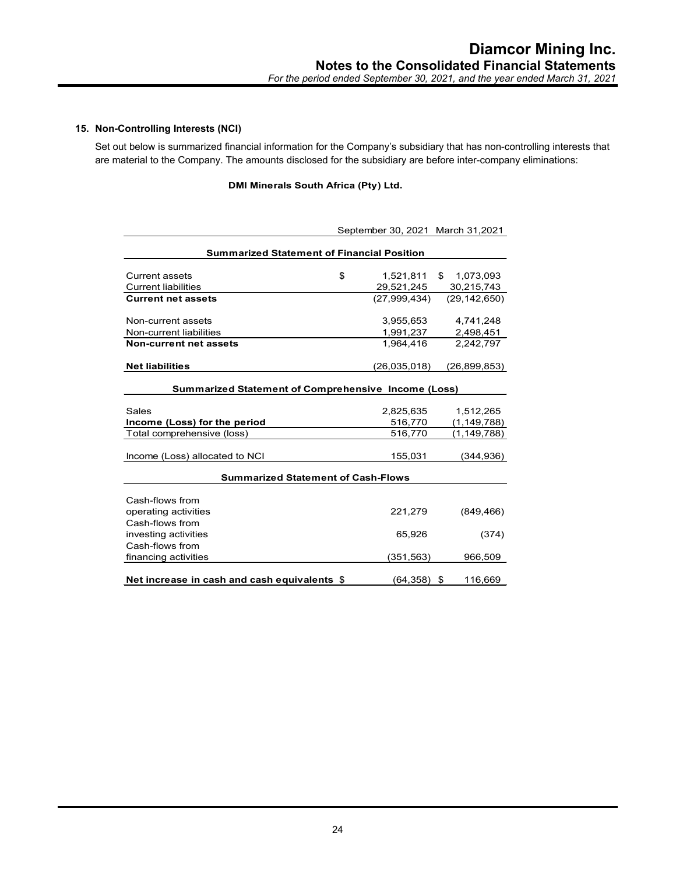# **15. Non-Controlling Interests (NCI)**

Set out below is summarized financial information for the Company's subsidiary that has non-controlling interests that are material to the Company. The amounts disclosed for the subsidiary are before inter-company eliminations:

# **DMI Minerals South Africa (Pty) Ltd.**

|                                                            |    | September 30, 2021 March 31,2021 |    |                |  |  |
|------------------------------------------------------------|----|----------------------------------|----|----------------|--|--|
|                                                            |    |                                  |    |                |  |  |
| <b>Summarized Statement of Financial Position</b>          |    |                                  |    |                |  |  |
| <b>Current assets</b>                                      | \$ | 1,521,811                        | \$ | 1,073,093      |  |  |
| <b>Current liabilities</b>                                 |    | 29,521,245                       |    | 30,215,743     |  |  |
| <b>Current net assets</b>                                  |    | (27,999,434)                     |    | (29, 142, 650) |  |  |
| Non-current assets                                         |    | 3,955,653                        |    | 4,741,248      |  |  |
| Non-current liabilities                                    |    | 1,991,237                        |    | 2,498,451      |  |  |
| Non-current net assets                                     |    | 1,964,416                        |    | 2,242,797      |  |  |
| <b>Net liabilities</b>                                     |    | (26,035,018)                     |    | (26, 899, 853) |  |  |
|                                                            |    |                                  |    |                |  |  |
| <b>Summarized Statement of Comprehensive Income (Loss)</b> |    |                                  |    |                |  |  |
| Sales                                                      |    | 2,825,635                        |    | 1,512,265      |  |  |
| Income (Loss) for the period                               |    | 516,770                          |    | (1,149,788)    |  |  |
| Total comprehensive (loss)                                 |    | 516,770                          |    | (1, 149, 788)  |  |  |
| Income (Loss) allocated to NCI                             |    | 155,031                          |    | (344, 936)     |  |  |
| <b>Summarized Statement of Cash-Flows</b>                  |    |                                  |    |                |  |  |
|                                                            |    |                                  |    |                |  |  |
| Cash-flows from                                            |    |                                  |    |                |  |  |
| operating activities                                       |    | 221,279                          |    | (849, 466)     |  |  |
| Cash-flows from                                            |    |                                  |    |                |  |  |
| investing activities                                       |    | 65,926                           |    | (374)          |  |  |
| Cash-flows from                                            |    |                                  |    |                |  |  |
| financing activities                                       |    | (351, 563)                       |    | 966,509        |  |  |
| Net increase in cash and cash equivalents \$               |    | (64,358)                         | \$ | 116,669        |  |  |